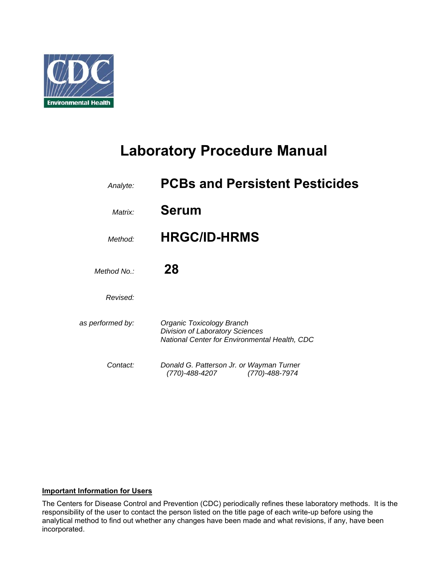

# **Laboratory Procedure Manual**

| Analyte:         | <b>PCBs and Persistent Pesticides</b>                                                                                       |
|------------------|-----------------------------------------------------------------------------------------------------------------------------|
| Matrix:          | <b>Serum</b>                                                                                                                |
| Method:          | <b>HRGC/ID-HRMS</b>                                                                                                         |
| Method No.:      | 28                                                                                                                          |
| Revised:         |                                                                                                                             |
| as performed by: | <b>Organic Toxicology Branch</b><br><b>Division of Laboratory Sciences</b><br>National Center for Environmental Health, CDC |
| Contact:         | Donald G. Patterson Jr. or Wayman Turner<br>(770)-488-4207<br>(770)-488-7974                                                |

#### **Important Information for Users**

The Centers for Disease Control and Prevention (CDC) periodically refines these laboratory methods. It is the responsibility of the user to contact the person listed on the title page of each write-up before using the analytical method to find out whether any changes have been made and what revisions, if any, have been incorporated.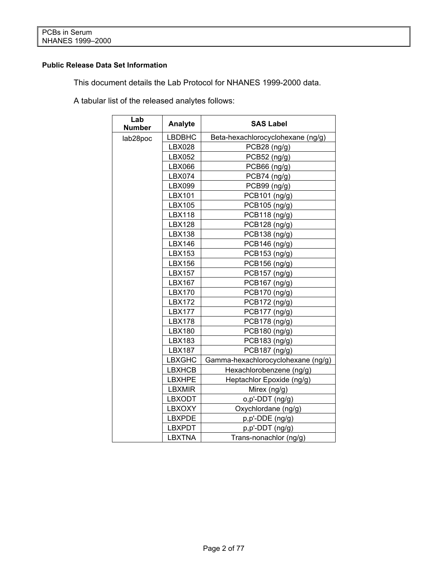# **Public Release Data Set Information**

This document details the Lab Protocol for NHANES 1999-2000 data.

A tabular list of the released analytes follows:

| Lab<br><b>Number</b> | Analyte       | <b>SAS Label</b>                   |
|----------------------|---------------|------------------------------------|
| lab28poc             | <b>LBDBHC</b> | Beta-hexachlorocyclohexane (ng/g)  |
|                      | <b>LBX028</b> | PCB28 (ng/g)                       |
|                      | LBX052        | PCB52 (ng/g)                       |
|                      | LBX066        | PCB66 (ng/g)                       |
|                      | LBX074        | PCB74 (ng/g)                       |
|                      | LBX099        | PCB99 (ng/g)                       |
|                      | LBX101        | PCB101 (ng/g)                      |
|                      | LBX105        | PCB105 (ng/g)                      |
|                      | <b>LBX118</b> | PCB118 (ng/g)                      |
|                      | <b>LBX128</b> | PCB128 (ng/g)                      |
|                      | <b>LBX138</b> | PCB138 (ng/g)                      |
|                      | <b>LBX146</b> | PCB146 (ng/g)                      |
|                      | LBX153        | PCB153 (ng/g)                      |
|                      | <b>LBX156</b> | PCB156 (ng/g)                      |
|                      | <b>LBX157</b> | PCB157 (ng/g)                      |
|                      | <b>LBX167</b> | PCB167 (ng/g)                      |
|                      | <b>LBX170</b> | PCB170 (ng/g)                      |
|                      | <b>LBX172</b> | PCB172 (ng/g)                      |
|                      | <b>LBX177</b> | PCB177 (ng/g)                      |
|                      | <b>LBX178</b> | PCB178 (ng/g)                      |
|                      | <b>LBX180</b> | PCB180 (ng/g)                      |
|                      | <b>LBX183</b> | PCB183 (ng/g)                      |
|                      | <b>LBX187</b> | PCB187 (ng/g)                      |
|                      | <b>LBXGHC</b> | Gamma-hexachlorocyclohexane (ng/g) |
|                      | <b>LBXHCB</b> | Hexachlorobenzene (ng/g)           |
|                      | <b>LBXHPE</b> | Heptachlor Epoxide (ng/g)          |
|                      | <b>LBXMIR</b> | Mirex (ng/g)                       |
|                      | <b>LBXODT</b> | o,p'-DDT (ng/g)                    |
|                      | LBXOXY        | Oxychlordane (ng/g)                |
|                      | <b>LBXPDE</b> | p,p'-DDE (ng/g)                    |
|                      | <b>LBXPDT</b> | p,p'-DDT (ng/g)                    |
|                      | <b>LBXTNA</b> | Trans-nonachlor (ng/g)             |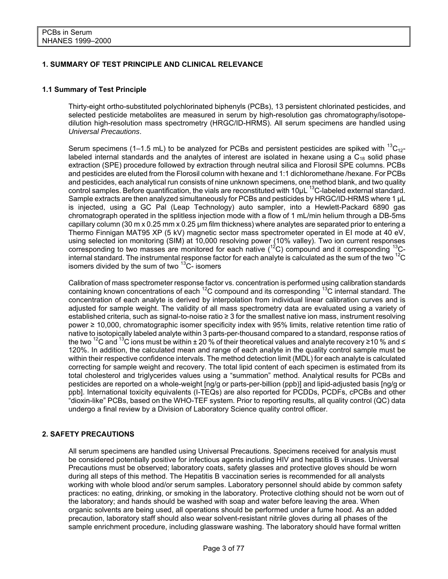#### **1. SUMMARY OF TEST PRINCIPLE AND CLINICAL RELEVANCE**

#### **1.1 Summary of Test Principle**

Thirty-eight ortho-substituted polychlorinated biphenyls (PCBs), 13 persistent chlorinated pesticides, and selected pesticide metabolites are measured in serum by high-resolution gas chromatography/isotopedilution high-resolution mass spectrometry (HRGC/ID-HRMS). All serum specimens are handled using *Universal Precautions*.

Serum specimens (1–1.5 mL) to be analyzed for PCBs and persistent pesticides are spiked with  ${}^{13}$ C<sub>12</sub>labeled internal standards and the analytes of interest are isolated in hexane using a  $C_{18}$  solid phase extraction (SPE) procedure followed by extraction through neutral silica and Florosil SPE columns. PCBs and pesticides are eluted from the Florosil column with hexane and 1:1 dichloromethane /hexane. For PCBs and pesticides, each analytical run consists of nine unknown specimens, one method blank, and two quality control samples. Before quantification, the vials are reconstituted with 10uL <sup>13</sup>C-labeled external standard. Sample extracts are then analyzed simultaneously for PCBs and pesticides by HRGC/ID-HRMS where 1  $\mu$ L is injected, using a GC Pal (Leap Technology) auto sampler, into a Hewlett-Packard 6890 gas chromatograph operated in the splitless injection mode with a flow of 1 mL/min helium through a DB-5ms capillary column (30 m x 0.25 mm x 0.25 μm film thickness) where analytes are separated prior to entering a Thermo Finnigan MAT95 XP (5 kV) magnetic sector mass spectrometer operated in EI mode at 40 eV, using selected ion monitoring (SIM) at 10,000 resolving power (10% valley). Two ion current responses corresponding to two masses are monitored for each native  $(^{12}C)$  compound and it corresponding  $^{13}C$ internal standard. The instrumental response factor for each analyte is calculated as the sum of the two  $^{12}$ C isomers divided by the sum of two  $13C$ - isomers

Calibration of mass spectrometer response factor vs. concentration is performed using calibration standards containing known concentrations of each  ${}^{12}C$  compound and its corresponding  ${}^{13}C$  internal standard. The concentration of each analyte is derived by interpolation from individual linear calibration curves and is adjusted for sample weight. The validity of all mass spectrometry data are evaluated using a variety of established criteria, such as signal-to-noise ratio ≥ 3 for the smallest native ion mass, instrument resolving power ≥ 10,000, chromatographic isomer specificity index with 95% limits, relative retention time ratio of native to isotopically labeled analyte within 3 parts-per-thousand compared to a standard, response ratios of the two <sup>12</sup>C and <sup>13</sup>C ions must be within ± 20 % of their theoretical values and analyte recovery ≥10 % and ≤ 120%. In addition, the calculated mean and range of each analyte in the quality control sample must be within their respective confidence intervals. The method detection limit (MDL) for each analyte is calculated correcting for sample weight and recovery. The total lipid content of each specimen is estimated from its total cholesterol and triglycerides values using a "summation" method. Analytical results for PCBs and pesticides are reported on a whole-weight [ng/g or parts-per-billion (ppb)] and lipid-adjusted basis [ng/g or ppb]. International toxicity equivalents (I-TEQs) are also reported for PCDDs, PCDFs, cPCBs and other "dioxin-like" PCBs, based on the WHO-TEF system. Prior to reporting results, all quality control (QC) data undergo a final review by a Division of Laboratory Science quality control officer.

#### **2. SAFETY PRECAUTIONS**

All serum specimens are handled using Universal Precautions. Specimens received for analysis must be considered potentially positive for infectious agents including HIV and hepatitis B viruses. Universal Precautions must be observed; laboratory coats, safety glasses and protective gloves should be worn during all steps of this method. The Hepatitis B vaccination series is recommended for all analysts working with whole blood and/or serum samples. Laboratory personnel should abide by common safety practices: no eating, drinking, or smoking in the laboratory. Protective clothing should not be worn out of the laboratory; and hands should be washed with soap and water before leaving the area. When organic solvents are being used, all operations should be performed under a fume hood. As an added precaution, laboratory staff should also wear solvent-resistant nitrile gloves during all phases of the sample enrichment procedure, including glassware washing. The laboratory should have formal written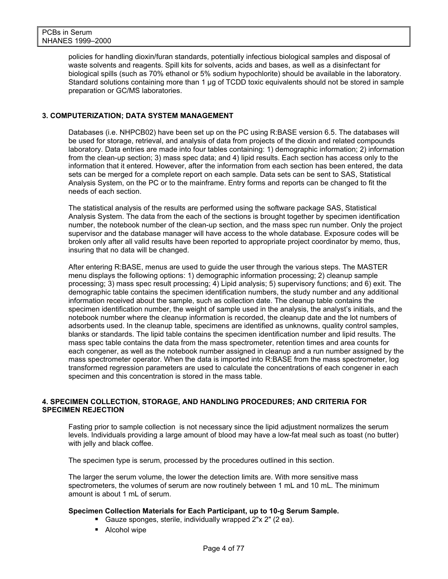policies for handling dioxin/furan standards, potentially infectious biological samples and disposal of waste solvents and reagents. Spill kits for solvents, acids and bases, as well as a disinfectant for biological spills (such as 70% ethanol or 5% sodium hypochlorite) should be available in the laboratory. Standard solutions containing more than 1 µg of TCDD toxic equivalents should not be stored in sample preparation or GC/MS laboratories.

#### **3. COMPUTERIZATION; DATA SYSTEM MANAGEMENT**

Databases (i.e. NHPCB02) have been set up on the PC using R:BASE version 6.5. The databases will be used for storage, retrieval, and analysis of data from projects of the dioxin and related compounds laboratory. Data entries are made into four tables containing: 1) demographic information; 2) information from the clean-up section; 3) mass spec data; and 4) lipid results. Each section has access only to the information that it entered. However, after the information from each section has been entered, the data sets can be merged for a complete report on each sample. Data sets can be sent to SAS, Statistical Analysis System, on the PC or to the mainframe. Entry forms and reports can be changed to fit the needs of each section.

The statistical analysis of the results are performed using the software package SAS, Statistical Analysis System. The data from the each of the sections is brought together by specimen identification number, the notebook number of the clean-up section, and the mass spec run number. Only the project supervisor and the database manager will have access to the whole database. Exposure codes will be broken only after all valid results have been reported to appropriate project coordinator by memo, thus, insuring that no data will be changed.

After entering R:BASE, menus are used to guide the user through the various steps. The MASTER menu displays the following options: 1) demographic information processing; 2) cleanup sample processing; 3) mass spec result processing; 4) Lipid analysis; 5) supervisory functions; and 6) exit. The demographic table contains the specimen identification numbers, the study number and any additional information received about the sample, such as collection date. The cleanup table contains the specimen identification number, the weight of sample used in the analysis, the analyst's initials, and the notebook number where the cleanup information is recorded, the cleanup date and the lot numbers of adsorbents used. In the cleanup table, specimens are identified as unknowns, quality control samples, blanks or standards. The lipid table contains the specimen identification number and lipid results. The mass spec table contains the data from the mass spectrometer, retention times and area counts for each congener, as well as the notebook number assigned in cleanup and a run number assigned by the mass spectrometer operator. When the data is imported into R:BASE from the mass spectrometer, log transformed regression parameters are used to calculate the concentrations of each congener in each specimen and this concentration is stored in the mass table.

#### **4. SPECIMEN COLLECTION, STORAGE, AND HANDLING PROCEDURES; AND CRITERIA FOR SPECIMEN REJECTION**

Fasting prior to sample collection is not necessary since the lipid adjustment normalizes the serum levels. Individuals providing a large amount of blood may have a low-fat meal such as toast (no butter) with jelly and black coffee.

The specimen type is serum, processed by the procedures outlined in this section.

The larger the serum volume, the lower the detection limits are. With more sensitive mass spectrometers, the volumes of serum are now routinely between 1 mL and 10 mL. The minimum amount is about 1 mL of serum.

#### **Specimen Collection Materials for Each Participant, up to 10-g Serum Sample.**

- Gauze sponges, sterile, individually wrapped 2"x 2" (2 ea).
- Alcohol wipe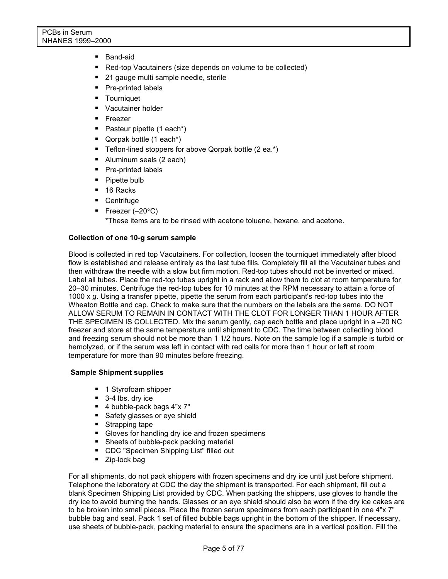- Band-aid
- Red-top Vacutainers (size depends on volume to be collected)
- 21 gauge multi sample needle, sterile
- Pre-printed labels
- **Tourniquet**
- **Vacutainer holder**
- **Freezer**
- Pasteur pipette (1 each\*)
- **Qorpak bottle (1 each\*)**
- Teflon-lined stoppers for above Qorpak bottle (2 ea.\*)
- Aluminum seals (2 each)
- Pre-printed labels
- Pipette bulb
- 16 Racks
- **•** Centrifuge
- Freezer  $(-20^{\circ}C)$

\*These items are to be rinsed with acetone toluene, hexane, and acetone.

#### **Collection of one 10-g serum sample**

Blood is collected in red top Vacutainers. For collection, loosen the tourniquet immediately after blood flow is established and release entirely as the last tube fills. Completely fill all the Vacutainer tubes and then withdraw the needle with a slow but firm motion. Red-top tubes should not be inverted or mixed. Label all tubes. Place the red-top tubes upright in a rack and allow them to clot at room temperature for 20–30 minutes. Centrifuge the red-top tubes for 10 minutes at the RPM necessary to attain a force of 1000 x *g*. Using a transfer pipette, pipette the serum from each participant's red-top tubes into the Wheaton Bottle and cap. Check to make sure that the numbers on the labels are the same. DO NOT ALLOW SERUM TO REMAIN IN CONTACT WITH THE CLOT FOR LONGER THAN 1 HOUR AFTER THE SPECIMEN IS COLLECTED. Mix the serum gently, cap each bottle and place upright in a –20 NC freezer and store at the same temperature until shipment to CDC. The time between collecting blood and freezing serum should not be more than 1 1/2 hours. Note on the sample log if a sample is turbid or hemolyzed, or if the serum was left in contact with red cells for more than 1 hour or left at room temperature for more than 90 minutes before freezing.

#### **Sample Shipment supplies**

- 1 Styrofoam shipper
- 3-4 lbs. dry ice
- 4 bubble-pack bags 4"x 7"
- Safety glasses or eye shield
- Strapping tape
- Gloves for handling dry ice and frozen specimens
- **Sheets of bubble-pack packing material**
- CDC "Specimen Shipping List" filled out
- **Zip-lock bag**

For all shipments, do not pack shippers with frozen specimens and dry ice until just before shipment. Telephone the laboratory at CDC the day the shipment is transported. For each shipment, fill out a blank Specimen Shipping List provided by CDC. When packing the shippers, use gloves to handle the dry ice to avoid burning the hands. Glasses or an eye shield should also be worn if the dry ice cakes are to be broken into small pieces. Place the frozen serum specimens from each participant in one 4"x 7" bubble bag and seal. Pack 1 set of filled bubble bags upright in the bottom of the shipper. If necessary, use sheets of bubble-pack, packing material to ensure the specimens are in a vertical position. Fill the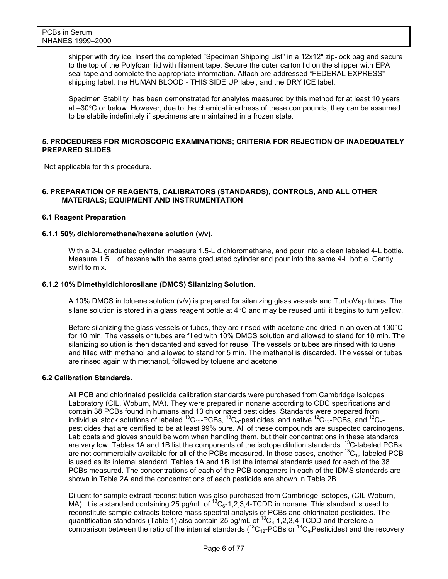shipper with dry ice. Insert the completed "Specimen Shipping List" in a 12x12" zip-lock bag and secure to the top of the Polyfoam lid with filament tape. Secure the outer carton lid on the shipper with EPA seal tape and complete the appropriate information. Attach pre-addressed "FEDERAL EXPRESS" shipping label, the HUMAN BLOOD - THIS SIDE UP label, and the DRY ICE label.

Specimen Stability has been demonstrated for analytes measured by this method for at least 10 years at –30°C or below. However, due to the chemical inertness of these compounds, they can be assumed to be stabile indefinitely if specimens are maintained in a frozen state.

#### **5. PROCEDURES FOR MICROSCOPIC EXAMINATIONS; CRITERIA FOR REJECTION OF INADEQUATELY PREPARED SLIDES**

Not applicable for this procedure.

#### **6. PREPARATION OF REAGENTS, CALIBRATORS (STANDARDS), CONTROLS, AND ALL OTHER MATERIALS; EQUIPMENT AND INSTRUMENTATION**

#### **6.1 Reagent Preparation**

#### **6.1.1 50% dichloromethane/hexane solution (v/v).**

With a 2-L graduated cylinder, measure 1.5-L dichloromethane, and pour into a clean labeled 4-L bottle. Measure 1.5 L of hexane with the same graduated cylinder and pour into the same 4-L bottle. Gently swirl to mix.

#### **6.1.2 10% Dimethyldichlorosilane (DMCS) Silanizing Solution**.

A 10% DMCS in toluene solution (v/v) is prepared for silanizing glass vessels and TurboVap tubes. The silane solution is stored in a glass reagent bottle at 4°C and may be reused until it begins to turn yellow.

Before silanizing the glass vessels or tubes, they are rinsed with acetone and dried in an oven at 130°C for 10 min. The vessels or tubes are filled with 10% DMCS solution and allowed to stand for 10 min. The silanizing solution is then decanted and saved for reuse. The vessels or tubes are rinsed with toluene and filled with methanol and allowed to stand for 5 min. The methanol is discarded. The vessel or tubes are rinsed again with methanol, followed by toluene and acetone.

#### **6.2 Calibration Standards.**

All PCB and chlorinated pesticide calibration standards were purchased from Cambridge Isotopes Laboratory (CIL, Woburn, MA). They were prepared in nonane according to CDC specifications and contain 38 PCBs found in humans and 13 chlorinated pesticides. Standards were prepared from individual stock solutions of labeled <sup>13</sup>C<sub>12</sub>-PCBs, <sup>13</sup>C<sub>n</sub>-pesticides, and native <sup>12</sup>C<sub>12</sub>-PCBs, and <sup>12</sup>C<sub>n</sub>pesticides that are certified to be at least 99% pure. All of these compounds are suspected carcinogens. Lab coats and gloves should be worn when handling them, but their concentrations in these standards are very low. Tables 1A and 1B list the components of the isotope dilution standards. <sup>13</sup>C-labeled PCBs are not commercially available for all of the PCBs measured. In those cases, another  ${}^{13}C_{12}$ -labeled PCB is used as its internal standard. Tables 1A and 1B list the internal standards used for each of the 38 PCBs measured. The concentrations of each of the PCB congeners in each of the IDMS standards are shown in Table 2A and the concentrations of each pesticide are shown in Table 2B.

Diluent for sample extract reconstitution was also purchased from Cambridge Isotopes, (CIL Woburn, MA). It is a standard containing 25 pg/mL of  ${}^{13}C_6$ -1,2,3,4-TCDD in nonane. This standard is used to reconstitute sample extracts before mass spectral analysis of PCBs and chlorinated pesticides. The quantification standards (Table 1) also contain 25 pg/mL of  ${}^{13}C_{6}$ -1,2,3,4-TCDD and therefore a comparison between the ratio of the internal standards ( ${}^{13}C_{12}$ -PCBs or  ${}^{13}C_{n}$ -Pesticides) and the recovery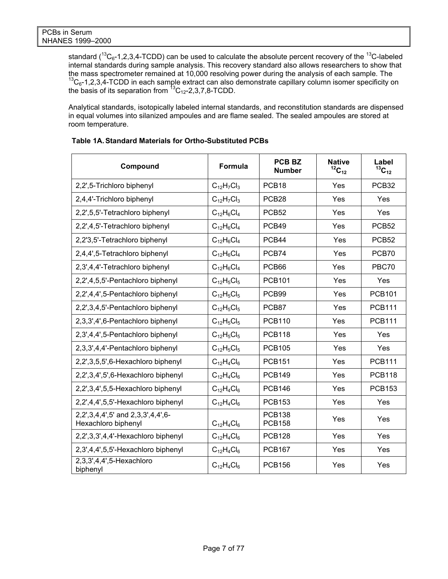standard  $(^{13}C_6$ -1,2,3,4-TCDD) can be used to calculate the absolute percent recovery of the  $^{13}C$ -labeled internal standards during sample analysis. This recovery standard also allows researchers to show that the mass spectrometer remained at 10,000 resolving power during the analysis of each sample. The 13C<sub>6</sub>-1,2,3,4-TCDD in each sample extract can also demonstrate capillary column isomer specificity on the basis of its separation from  ${}^{13}C_{12}$ -2,3,7,8-TCDD.

Analytical standards, isotopically labeled internal standards, and reconstitution standards are dispensed in equal volumes into silanized ampoules and are flame sealed. The sealed ampoules are stored at room temperature.

| Compound                                                 | Formula             | <b>PCB BZ</b><br><b>Number</b> | <b>Native</b><br>${}^{12}C_{12}$ | Label<br>$13C_{12}$ |
|----------------------------------------------------------|---------------------|--------------------------------|----------------------------------|---------------------|
| 2,2',5-Trichloro biphenyl                                | $C_{12}H_7Cl_3$     | PCB <sub>18</sub>              | Yes                              | PCB <sub>32</sub>   |
| 2,4,4'-Trichloro biphenyl                                | $C_{12}H_7Cl_3$     | PCB <sub>28</sub>              | Yes                              | Yes                 |
| 2,2',5,5'-Tetrachloro biphenyl                           | $C_{12}H_6Cl_4$     | PCB <sub>52</sub>              | Yes                              | Yes                 |
| 2,2',4,5'-Tetrachloro biphenyl                           | $C_{12}H_6Cl_4$     | PCB49                          | Yes                              | PCB <sub>52</sub>   |
| 2,2'3,5'-Tetrachloro biphenyl                            | $C_{12}H_6Cl_4$     | PCB44                          | Yes                              | PCB <sub>52</sub>   |
| 2,4,4',5-Tetrachloro biphenyl                            | $C_{12}H_6Cl_4$     | PCB74                          | Yes                              | PCB70               |
| 2,3',4,4'-Tetrachloro biphenyl                           | $C_{12}H_6Cl_4$     | PCB66                          | Yes                              | PBC70               |
| 2,2',4,5,5'-Pentachloro biphenyl                         | $C_{12}H_5Cl_5$     | <b>PCB101</b>                  | Yes                              | Yes                 |
| 2,2',4,4',5-Pentachloro biphenyl                         | $C_{12}H_5Cl_5$     | PCB99                          | Yes                              | <b>PCB101</b>       |
| 2,2',3,4,5'-Pentachloro biphenyl                         | $C_{12}H_5Cl_5$     | PCB87                          | Yes                              | <b>PCB111</b>       |
| 2,3,3',4',6-Pentachloro biphenyl                         | $C_{12}H_5Cl_5$     | <b>PCB110</b>                  | Yes                              | <b>PCB111</b>       |
| 2,3',4,4',5-Pentachloro biphenyl                         | $C_{12}H_5Cl_5$     | <b>PCB118</b>                  | Yes                              | Yes                 |
| 2,3,3',4,4'-Pentachloro biphenyl                         | $C_{12}H_5Cl_5$     | <b>PCB105</b>                  | Yes                              | Yes                 |
| 2,2',3,5,5',6-Hexachloro biphenyl                        | $C_{12}H_{4}Cl_{6}$ | <b>PCB151</b>                  | Yes                              | <b>PCB111</b>       |
| 2,2',3,4',5',6-Hexachloro biphenyl                       | $C_{12}H_{4}Cl_{6}$ | <b>PCB149</b>                  | Yes                              | <b>PCB118</b>       |
| 2,2',3,4',5,5-Hexachloro biphenyl                        | $C_{12}H_{4}Cl_{6}$ | <b>PCB146</b>                  | Yes                              | <b>PCB153</b>       |
| 2,2',4,4',5,5'-Hexachloro biphenyl                       | $C_{12}H_{4}Cl_{6}$ | <b>PCB153</b>                  | Yes                              | Yes                 |
| 2,2',3,4,4',5' and 2,3,3',4,4',6-<br>Hexachloro biphenyl | $C_{12}H_{4}Cl_{6}$ | <b>PCB138</b><br><b>PCB158</b> | Yes                              | Yes                 |
| 2,2',3,3',4,4'-Hexachloro biphenyl                       | $C_{12}H_{4}Cl_{6}$ | <b>PCB128</b>                  | Yes                              | Yes                 |
| 2,3',4,4',5,5'-Hexachloro biphenyl                       | $C_{12}H_{4}Cl_{6}$ | <b>PCB167</b>                  | Yes                              | Yes                 |
| 2,3,3',4,4',5-Hexachloro<br>biphenyl                     | $C_{12}H_{4}Cl_{6}$ | <b>PCB156</b>                  | Yes                              | Yes                 |

# **Table 1A. Standard Materials for Ortho-Substituted PCBs**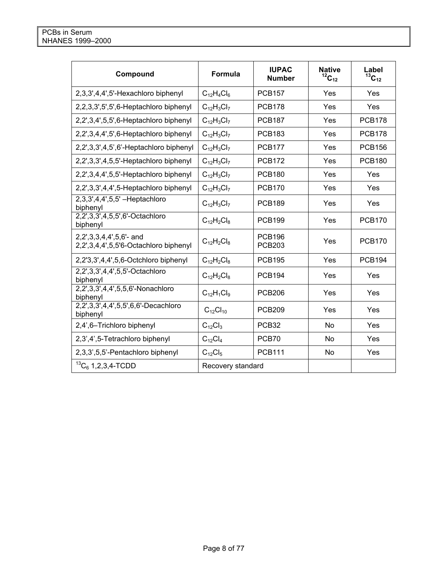| Compound                                                            | <b>Formula</b>      | <b>IUPAC</b><br><b>Number</b>  | <b>Native</b><br>${}^{12}C_{12}$ | Label<br>$^{13}C_{12}$ |
|---------------------------------------------------------------------|---------------------|--------------------------------|----------------------------------|------------------------|
| 2,3,3',4,4',5'-Hexachloro biphenyl                                  | $C_{12}H_{4}Cl_{6}$ | <b>PCB157</b>                  | Yes                              | Yes                    |
| 2,2,3,3',5',5',6-Heptachloro biphenyl                               | $C_{12}H_3Cl_7$     | <b>PCB178</b>                  | Yes                              | Yes                    |
| 2,2',3,4',5,5',6-Heptachloro biphenyl                               | $C_{12}H_3Cl_7$     | <b>PCB187</b>                  | Yes                              | <b>PCB178</b>          |
| 2,2',3,4,4',5',6-Heptachloro biphenyl                               | $C_{12}H_3Cl_7$     | <b>PCB183</b>                  | Yes                              | <b>PCB178</b>          |
| 2,2',3,3',4,5',6'-Heptachloro biphenyl                              | $C_{12}H_3Cl_7$     | <b>PCB177</b>                  | Yes                              | <b>PCB156</b>          |
| 2,2',3,3',4,5,5'-Heptachloro biphenyl                               | $C_{12}H_3Cl_7$     | <b>PCB172</b>                  | Yes                              | <b>PCB180</b>          |
| 2,2',3,4,4',5,5'-Heptachloro biphenyl                               | $C_{12}H_3Cl_7$     | <b>PCB180</b>                  | Yes                              | Yes                    |
| 2,2',3,3',4,4',5-Heptachloro biphenyl                               | $C_{12}H_3Cl_7$     | <b>PCB170</b>                  | Yes                              | Yes                    |
| 2,3,3',4,4',5,5' - Heptachloro<br>biphenyl                          | $C_{12}H_3Cl_7$     | <b>PCB189</b>                  | Yes                              | Yes                    |
| 2,2',3,3',4,5,5',6'-Octachloro<br>biphenyl                          | $C_{12}H_2Cl_8$     | <b>PCB199</b>                  | Yes                              | <b>PCB170</b>          |
| $2,2',3,3,4,4',5,6'$ - and<br>2,2',3,4,4',5,5'6-Octachloro biphenyl | $C_{12}H_2Cl_8$     | <b>PCB196</b><br><b>PCB203</b> | Yes                              | <b>PCB170</b>          |
| 2,2'3,3',4,4',5,6-Octchloro biphenyl                                | $C_{12}H_2Cl_8$     | <b>PCB195</b>                  | Yes                              | <b>PCB194</b>          |
| 2,2',3,3',4,4',5,5'-Octachloro<br>biphenyl                          | $C_{12}H_2Cl_8$     | <b>PCB194</b>                  | Yes                              | Yes                    |
| 2,2',3,3',4,4',5,5,6'-Nonachloro<br>biphenyl                        | $C_{12}H_1Cl_9$     | <b>PCB206</b>                  | Yes                              | Yes                    |
| 2,2',3,3',4,4',5,5',6,6'-Decachloro<br>biphenyl                     | $C_{12}Cl_{10}$     | <b>PCB209</b>                  | Yes                              | Yes                    |
| 2,4',6-Trichloro biphenyl                                           | $C_{12}Cl_3$        | PCB <sub>32</sub>              | <b>No</b>                        | Yes                    |
| 2,3',4',5-Tetrachloro biphenyl                                      | $C_{12}Cl_4$        | PCB70                          | <b>No</b>                        | Yes                    |
| 2,3,3',5,5'-Pentachloro biphenyl                                    | $C_{12}Cl_5$        | <b>PCB111</b>                  | N <sub>o</sub>                   | Yes                    |
| ${}^{13}C_6$ 1, 2, 3, 4-TCDD                                        | Recovery standard   |                                |                                  |                        |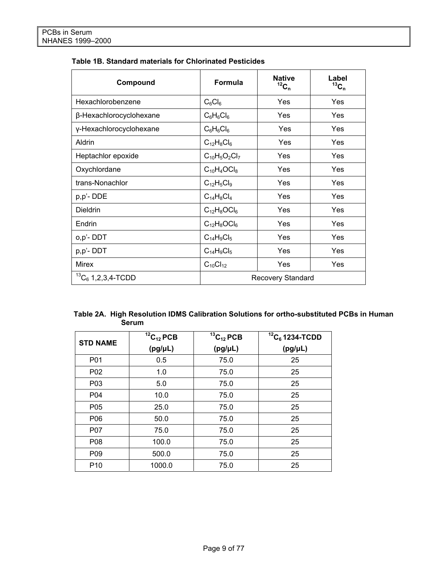| Compound                     | Formula                  | <b>Native</b><br>${}^{12}C_n$ | Label<br>$13C_n$ |  |
|------------------------------|--------------------------|-------------------------------|------------------|--|
| Hexachlorobenzene            | $C_6Cl_6$                | Yes                           | Yes              |  |
| β-Hexachlorocyclohexane      | $C_6H_6Cl_6$             | Yes                           | <b>Yes</b>       |  |
| y-Hexachlorocyclohexane      | $C_6H_6Cl_6$             | <b>Yes</b>                    | <b>Yes</b>       |  |
| Aldrin                       | $C_{12}H_8Cl_6$          | Yes                           | Yes              |  |
| Heptachlor epoxide           | $C_{10}H_5O_2Cl_7$       | Yes                           | Yes              |  |
| Oxychlordane                 | $C_{10}H_4OCl_8$         | Yes                           | Yes              |  |
| trans-Nonachlor              | $C_{12}H_5Cl_9$          | Yes                           | Yes              |  |
| p,p'-DDE                     | $C_{14}H_8Cl_4$          | Yes                           | Yes              |  |
| <b>Dieldrin</b>              | $C_{12}H_8OCl_6$         | Yes                           | Yes              |  |
| Endrin                       | $C_{12}H_8OCl_6$         | Yes                           | Yes              |  |
| o,p'-DDT                     | $C_{14}H_9Cl_5$          | Yes                           | Yes              |  |
| p,p'-DDT                     | $C_{14}H_9Cl_5$          | Yes                           | Yes              |  |
| <b>Mirex</b>                 | $C_{10}Cl_{12}$          | Yes                           | Yes              |  |
| ${}^{13}C_6$ 1, 2, 3, 4-TCDD | <b>Recovery Standard</b> |                               |                  |  |

# **Table 1B. Standard materials for Chlorinated Pesticides**

| Table 2A. High Resolution IDMS Calibration Solutions for ortho-substituted PCBs in Human |
|------------------------------------------------------------------------------------------|
| Serum                                                                                    |

| <b>STD NAME</b> | ${}^{12}C_{12}$ PCB | ${}^{13}C_{12}$ PCB | ${}^{12}C_6$ 1234-TCDD |
|-----------------|---------------------|---------------------|------------------------|
|                 | $(pg/\mu L)$        | $(pg/\mu L)$        | $(pg/\mu L)$           |
| P01             | 0.5                 | 75.0                | 25                     |
| P02             | 1.0                 | 75.0                | 25                     |
| P03             | 5.0                 | 75.0                | 25                     |
| P04             | 10.0                | 75.0                | 25                     |
| P05             | 25.0                | 75.0                | 25                     |
| P06             | 50.0                | 75.0                | 25                     |
| P07             | 75.0                | 75.0                | 25                     |
| P08             | 100.0               | 75.0                | 25                     |
| P <sub>09</sub> | 500.0               | 75.0                | 25                     |
| P <sub>10</sub> | 1000.0              | 75.0                | 25                     |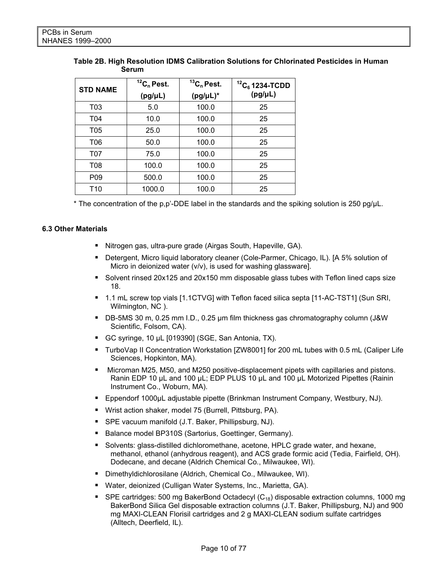|       | Table 2B. High Resolution IDMS Calibration Solutions for Chlorinated Pesticides in Human |
|-------|------------------------------------------------------------------------------------------|
| Serum |                                                                                          |

| <b>STD NAME</b> | ${}^{12}C_n$ Pest.<br>$(pg/\mu L)$ | ${}^{13}C_n$ Pest.<br>$(pg/\mu L)^*$ | ${}^{12}C_6$ 1234-TCDD<br>$(pg/\mu L)$ |
|-----------------|------------------------------------|--------------------------------------|----------------------------------------|
| T03             | 5.0                                | 100.0                                | 25                                     |
| T04             | 10.0                               | 100.0                                | 25                                     |
| T05             | 25.0                               | 100.0                                | 25                                     |
| <b>T06</b>      | 50.0                               | 100.0                                | 25                                     |
| <b>T07</b>      | 75.0                               | 100.0                                | 25                                     |
| T08             | 100.0                              | 100.0                                | 25                                     |
| P <sub>09</sub> | 500.0                              | 100.0                                | 25                                     |
| T <sub>10</sub> | 1000.0                             | 100.0                                | 25                                     |

\* The concentration of the  $p, p'$ -DDE label in the standards and the spiking solution is 250 pg/ $\mu$ L.

#### **6.3 Other Materials**

- Nitrogen gas, ultra-pure grade (Airgas South, Hapeville, GA).
- Detergent, Micro liquid laboratory cleaner (Cole-Parmer, Chicago, IL). [A 5% solution of Micro in deionized water (v/v), is used for washing glassware].
- Solvent rinsed 20x125 and 20x150 mm disposable glass tubes with Teflon lined caps size 18.
- 1.1 mL screw top vials [1.1CTVG] with Teflon faced silica septa [11-AC-TST1] (Sun SRI, Wilmington, NC ).
- DB-5MS 30 m, 0.25 mm I.D., 0.25 µm film thickness gas chromatography column (J&W Scientific, Folsom, CA).
- GC syringe, 10 µL [019390] (SGE, San Antonia, TX).
- TurboVap II Concentration Workstation [ZW8001] for 200 mL tubes with 0.5 mL (Caliper Life Sciences, Hopkinton, MA).
- Microman M25, M50, and M250 positive-displacement pipets with capillaries and pistons. Ranin EDP 10 µL and 100 µL; EDP PLUS 10 µL and 100 µL Motorized Pipettes (Rainin Instrument Co., Woburn, MA).
- Eppendorf 1000μL adjustable pipette (Brinkman Instrument Company, Westbury, NJ).
- Wrist action shaker, model 75 (Burrell, Pittsburg, PA).
- **SPE vacuum manifold (J.T. Baker, Phillipsburg, NJ).**
- Balance model BP310S (Sartorius, Goettinger, Germany).
- **Solvents: glass-distilled dichloromethane, acetone, HPLC grade water, and hexane,** methanol, ethanol (anhydrous reagent), and ACS grade formic acid (Tedia, Fairfield, OH). Dodecane, and decane (Aldrich Chemical Co., Milwaukee, WI).
- Dimethyldichlorosilane (Aldrich, Chemical Co., Milwaukee, WI).
- Water, deionized (Culligan Water Systems, Inc., Marietta, GA).
- SPE cartridges: 500 mg BakerBond Octadecyl  $(C_{18})$  disposable extraction columns, 1000 mg BakerBond Silica Gel disposable extraction columns (J.T. Baker, Phillipsburg, NJ) and 900 mg MAXI-CLEAN Florisil cartridges and 2 g MAXI-CLEAN sodium sulfate cartridges (Alltech, Deerfield, IL).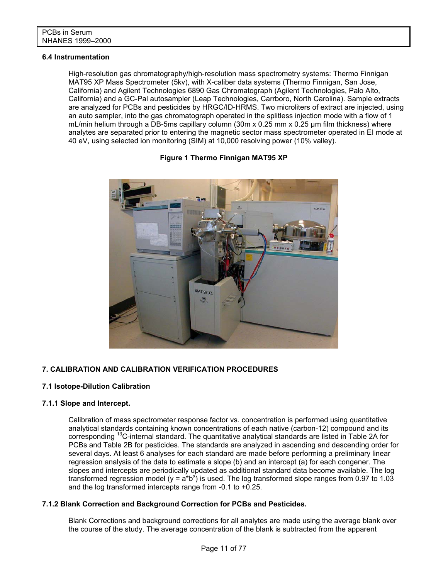#### **6.4 Instrumentation**

High-resolution gas chromatography/high-resolution mass spectrometry systems: Thermo Finnigan MAT95 XP Mass Spectrometer (5kv), with X-caliber data systems (Thermo Finnigan, San Jose, California) and Agilent Technologies 6890 Gas Chromatograph (Agilent Technologies, Palo Alto, California) and a GC-Pal autosampler (Leap Technologies, Carrboro, North Carolina). Sample extracts are analyzed for PCBs and pesticides by HRGC/ID-HRMS. Two microliters of extract are injected, using an auto sampler, into the gas chromatograph operated in the splitless injection mode with a flow of 1 mL/min helium through a DB-5ms capillary column (30m x 0.25 mm x 0.25 μm film thickness) where analytes are separated prior to entering the magnetic sector mass spectrometer operated in EI mode at 40 eV, using selected ion monitoring (SIM) at 10,000 resolving power (10% valley).

# MAT 95 XL

#### **Figure 1 Thermo Finnigan MAT95 XP**

# **7. CALIBRATION AND CALIBRATION VERIFICATION PROCEDURES**

#### **7.1 Isotope-Dilution Calibration**

#### **7.1.1 Slope and Intercept.**

Calibration of mass spectrometer response factor vs. concentration is performed using quantitative analytical standards containing known concentrations of each native (carbon-12) compound and its corresponding 13C-internal standard. The quantitative analytical standards are listed in Table 2A for PCBs and Table 2B for pesticides. The standards are analyzed in ascending and descending order for several days. At least 6 analyses for each standard are made before performing a preliminary linear regression analysis of the data to estimate a slope (b) and an intercept (a) for each congener. The slopes and intercepts are periodically updated as additional standard data become available. The log transformed regression model (y =  $a^*b^x$ ) is used. The log transformed slope ranges from 0.97 to 1.03 and the log transformed intercepts range from -0.1 to +0.25.

#### **7.1.2 Blank Correction and Background Correction for PCBs and Pesticides.**

Blank Corrections and background corrections for all analytes are made using the average blank over the course of the study. The average concentration of the blank is subtracted from the apparent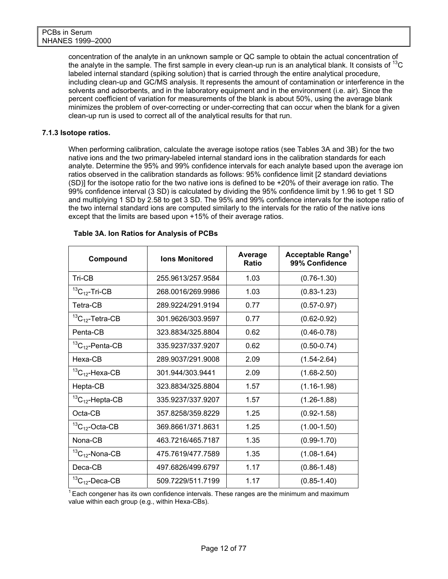concentration of the analyte in an unknown sample or QC sample to obtain the actual concentration of the analyte in the sample. The first sample in every clean-up run is an analytical blank. It consists of  $^{13}C$ labeled internal standard (spiking solution) that is carried through the entire analytical procedure, including clean-up and GC/MS analysis. It represents the amount of contamination or interference in the solvents and adsorbents, and in the laboratory equipment and in the environment (i.e. air). Since the percent coefficient of variation for measurements of the blank is about 50%, using the average blank minimizes the problem of over-correcting or under-correcting that can occur when the blank for a given clean-up run is used to correct all of the analytical results for that run.

#### **7.1.3 Isotope ratios.**

When performing calibration, calculate the average isotope ratios (see Tables 3A and 3B) for the two native ions and the two primary-labeled internal standard ions in the calibration standards for each analyte. Determine the 95% and 99% confidence intervals for each analyte based upon the average ion ratios observed in the calibration standards as follows: 95% confidence limit [2 standard deviations (SD)] for the isotope ratio for the two native ions is defined to be +20% of their average ion ratio. The 99% confidence interval (3 SD) is calculated by dividing the 95% confidence limit by 1.96 to get 1 SD and multiplying 1 SD by 2.58 to get 3 SD. The 95% and 99% confidence intervals for the isotope ratio of the two internal standard ions are computed similarly to the intervals for the ratio of the native ions except that the limits are based upon +15% of their average ratios.

| Compound                  | <b>Ions Monitored</b> | Average<br><b>Ratio</b> | Acceptable Range <sup>1</sup><br>99% Confidence |
|---------------------------|-----------------------|-------------------------|-------------------------------------------------|
| Tri-CB                    | 255.9613/257.9584     | 1.03                    | $(0.76 - 1.30)$                                 |
| ${}^{13}C_{12}$ -Tri-CB   | 268.0016/269.9986     | 1.03                    | $(0.83 - 1.23)$                                 |
| Tetra-CB                  | 289.9224/291.9194     | 0.77                    | $(0.57 - 0.97)$                                 |
| ${}^{13}C_{12}$ -Tetra-CB | 301.9626/303.9597     | 0.77                    | $(0.62 - 0.92)$                                 |
| Penta-CB                  | 323.8834/325.8804     | 0.62                    | $(0.46 - 0.78)$                                 |
| ${}^{13}C_{12}$ -Penta-CB | 335.9237/337.9207     | 0.62                    | $(0.50 - 0.74)$                                 |
| Hexa-CB                   | 289.9037/291.9008     | 2.09                    | $(1.54 - 2.64)$                                 |
| ${}^{13}C_{12}$ -Hexa-CB  | 301.944/303.9441      | 2.09                    | $(1.68 - 2.50)$                                 |
| Hepta-CB                  | 323.8834/325.8804     | 1.57                    | $(1.16 - 1.98)$                                 |
| ${}^{13}C_{12}$ -Hepta-CB | 335.9237/337.9207     | 1.57                    | $(1.26 - 1.88)$                                 |
| Octa-CB                   | 357.8258/359.8229     | 1.25                    | $(0.92 - 1.58)$                                 |
| ${}^{13}C_{12}$ -Octa-CB  | 369.8661/371.8631     | 1.25                    | $(1.00-1.50)$                                   |
| Nona-CB                   | 463.7216/465.7187     | 1.35                    | $(0.99 - 1.70)$                                 |
| ${}^{13}C_{12}$ -Nona-CB  | 475.7619/477.7589     | 1.35                    | $(1.08 - 1.64)$                                 |
| Deca-CB                   | 497.6826/499.6797     | 1.17                    | $(0.86 - 1.48)$                                 |
| ${}^{13}C_{12}$ -Deca-CB  | 509.7229/511.7199     | 1.17                    | $(0.85 - 1.40)$                                 |

#### **Table 3A. Ion Ratios for Analysis of PCBs**

 $1$  Each congener has its own confidence intervals. These ranges are the minimum and maximum value within each group (e.g., within Hexa-CBs).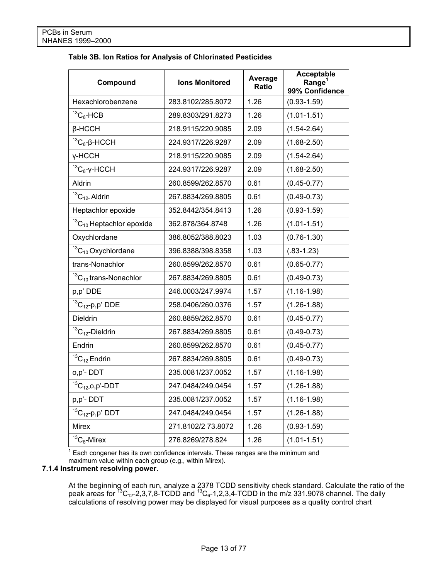| Table 3B. Ion Ratios for Analysis of Chlorinated Pesticides |  |  |  |  |  |  |
|-------------------------------------------------------------|--|--|--|--|--|--|
|-------------------------------------------------------------|--|--|--|--|--|--|

| Compound                           | <b>Ions Monitored</b> | Average<br>Ratio | <b>Acceptable</b><br>Range <sup>1</sup><br>99% Confidence |
|------------------------------------|-----------------------|------------------|-----------------------------------------------------------|
| Hexachlorobenzene                  | 283.8102/285.8072     | 1.26             | $(0.93 - 1.59)$                                           |
| ${}^{13}C_6$ -HCB                  | 289.8303/291.8273     | 1.26             | $(1.01 - 1.51)$                                           |
| $\beta$ -HCCH                      | 218.9115/220.9085     | 2.09             | $(1.54 - 2.64)$                                           |
| ${}^{13}C_6$ -β-HCCH               | 224.9317/226.9287     | 2.09             | $(1.68 - 2.50)$                                           |
| y-HCCH                             | 218.9115/220.9085     | 2.09             | $(1.54 - 2.64)$                                           |
| ${}^{13}C_6$ -γ-HCCH               | 224.9317/226.9287     | 2.09             | $(1.68 - 2.50)$                                           |
| Aldrin                             | 260.8599/262.8570     | 0.61             | $(0.45 - 0.77)$                                           |
| ${}^{13}C_{12}$ . Aldrin           | 267.8834/269.8805     | 0.61             | $(0.49 - 0.73)$                                           |
| Heptachlor epoxide                 | 352.8442/354.8413     | 1.26             | $(0.93 - 1.59)$                                           |
| ${}^{13}C_{10}$ Heptachlor epoxide | 362.878/364.8748      | 1.26             | $(1.01 - 1.51)$                                           |
| Oxychlordane                       | 386.8052/388.8023     | 1.03             | $(0.76 - 1.30)$                                           |
| ${}^{13}C_{10}$ Oxychlordane       | 396.8388/398.8358     | 1.03             | $(.83-1.23)$                                              |
| trans-Nonachlor                    | 260.8599/262.8570     | 0.61             | $(0.65 - 0.77)$                                           |
| ${}^{13}C_{10}$ trans-Nonachlor    | 267.8834/269.8805     | 0.61             | $(0.49 - 0.73)$                                           |
| p,p' DDE                           | 246.0003/247.9974     | 1.57             | $(1.16 - 1.98)$                                           |
| ${}^{13}C_{12}$ -p,p' DDE          | 258.0406/260.0376     | 1.57             | $(1.26 - 1.88)$                                           |
| Dieldrin                           | 260.8859/262.8570     | 0.61             | $(0.45 - 0.77)$                                           |
| ${}^{13}C_{12}$ -Dieldrin          | 267.8834/269.8805     | 0.61             | $(0.49 - 0.73)$                                           |
| Endrin                             | 260.8599/262.8570     | 0.61             | $(0.45 - 0.77)$                                           |
| ${}^{13}C_{12}$ Endrin             | 267.8834/269.8805     | 0.61             | $(0.49 - 0.73)$                                           |
| o,p'-DDT                           | 235.0081/237.0052     | 1.57             | $(1.16 - 1.98)$                                           |
| ${}^{13}C_{12}$ -0,p'-DDT          | 247.0484/249.0454     | 1.57             | $(1.26 - 1.88)$                                           |
| p,p'-DDT                           | 235.0081/237.0052     | 1.57             | $(1.16 - 1.98)$                                           |
| ${}^{13}C_{12}$ -p,p' DDT          | 247.0484/249.0454     | 1.57             | $(1.26 - 1.88)$                                           |
| <b>Mirex</b>                       | 271.8102/2 73.8072    | 1.26             | $(0.93 - 1.59)$                                           |
| ${}^{13}C_8$ -Mirex                | 276.8269/278.824      | 1.26             | $(1.01 - 1.51)$                                           |

 $1$  Each congener has its own confidence intervals. These ranges are the minimum and maximum value within each group (e.g., within Mirex).

# **7.1.4 Instrument resolving power.**

At the beginning of each run, analyze a 2378 TCDD sensitivity check standard. Calculate the ratio of the peak areas for  $^{13}C_{12}$ -2,3,7,8-TCDD and  $^{13}C_{6}$ -1,2,3,4-TCDD in the m/z 331.9078 channel. The daily calculations of resolving power may be displayed for visual purposes as a quality control chart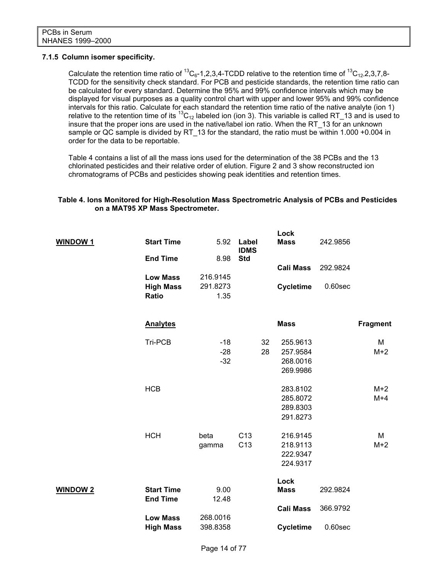#### **7.1.5 Column isomer specificity.**

Calculate the retention time ratio of <sup>13</sup>C<sub>6</sub>-1,2,3,4-TCDD relative to the retention time of <sup>13</sup>C<sub>12</sub>-2,3,7,8-TCDD for the sensitivity check standard. For PCB and pesticide standards, the retention time ratio can be calculated for every standard. Determine the 95% and 99% confidence intervals which may be displayed for visual purposes as a quality control chart with upper and lower 95% and 99% confidence intervals for this ratio. Calculate for each standard the retention time ratio of the native analyte (ion 1) relative to the retention time of its  ${}^{13}C_{12}$  labeled ion (ion 3). This variable is called RT\_13 and is used to insure that the proper ions are used in the native/label ion ratio. When the RT\_13 for an unknown sample or QC sample is divided by RT\_13 for the standard, the ratio must be within 1.000 +0.004 in order for the data to be reportable.

Table 4 contains a list of all the mass ions used for the determination of the 38 PCBs and the 13 chlorinated pesticides and their relative order of elution. Figure 2 and 3 show reconstructed ion chromatograms of PCBs and pesticides showing peak identities and retention times.

#### **Table 4. Ions Monitored for High-Resolution Mass Spectrometric Analysis of PCBs and Pesticides on a MAT95 XP Mass Spectrometer.**

|                 |                                     |                      |                      |    | Lock             |            |                 |
|-----------------|-------------------------------------|----------------------|----------------------|----|------------------|------------|-----------------|
| <b>WINDOW1</b>  | <b>Start Time</b>                   | 5.92                 | Label<br><b>IDMS</b> |    | <b>Mass</b>      | 242.9856   |                 |
|                 | <b>End Time</b>                     | 8.98                 | <b>Std</b>           |    |                  |            |                 |
|                 |                                     |                      |                      |    | <b>Cali Mass</b> | 292.9824   |                 |
|                 | <b>Low Mass</b><br><b>High Mass</b> | 216.9145<br>291.8273 |                      |    | <b>Cycletime</b> | $0.60$ sec |                 |
|                 | <b>Ratio</b>                        | 1.35                 |                      |    |                  |            |                 |
|                 |                                     |                      |                      |    |                  |            |                 |
|                 | <b>Analytes</b>                     |                      |                      |    | <b>Mass</b>      |            | <b>Fragment</b> |
|                 |                                     |                      |                      |    |                  |            |                 |
|                 | Tri-PCB                             | $-18$                |                      | 32 | 255.9613         |            | M               |
|                 |                                     | $-28$                |                      | 28 | 257.9584         |            | $M+2$           |
|                 |                                     | $-32$                |                      |    | 268.0016         |            |                 |
|                 |                                     |                      |                      |    | 269.9986         |            |                 |
|                 | <b>HCB</b>                          |                      |                      |    | 283.8102         |            | $M+2$           |
|                 |                                     |                      |                      |    | 285.8072         |            | $M+4$           |
|                 |                                     |                      |                      |    | 289.8303         |            |                 |
|                 |                                     |                      |                      |    | 291.8273         |            |                 |
|                 | <b>HCH</b>                          | beta                 | C <sub>13</sub>      |    | 216.9145         |            | M               |
|                 |                                     | gamma                | C <sub>13</sub>      |    | 218.9113         |            | $M+2$           |
|                 |                                     |                      |                      |    | 222.9347         |            |                 |
|                 |                                     |                      |                      |    | 224.9317         |            |                 |
|                 |                                     |                      |                      |    | Lock             |            |                 |
| <b>WINDOW 2</b> | <b>Start Time</b>                   | 9.00                 |                      |    | <b>Mass</b>      | 292.9824   |                 |
|                 | <b>End Time</b>                     | 12.48                |                      |    | <b>Cali Mass</b> |            |                 |
|                 | <b>Low Mass</b>                     | 268.0016             |                      |    |                  | 366.9792   |                 |
|                 | <b>High Mass</b>                    | 398.8358             |                      |    | <b>Cycletime</b> | $0.60$ sec |                 |
|                 |                                     |                      |                      |    |                  |            |                 |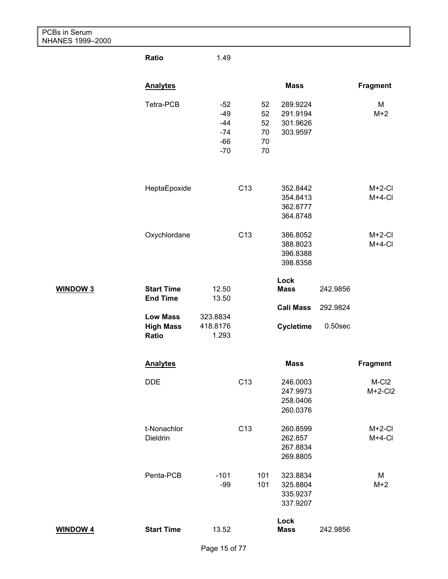| PCBs in Serum<br>NHANES 1999-2000 |                                      |                                                    |                 |                                  |                                              |            |                                |
|-----------------------------------|--------------------------------------|----------------------------------------------------|-----------------|----------------------------------|----------------------------------------------|------------|--------------------------------|
|                                   | Ratio                                | 1.49                                               |                 |                                  |                                              |            |                                |
|                                   | <b>Analytes</b>                      |                                                    |                 |                                  | <b>Mass</b>                                  |            | <b>Fragment</b>                |
|                                   | Tetra-PCB                            | $-52$<br>$-49$<br>$-44$<br>$-74$<br>$-66$<br>$-70$ |                 | 52<br>52<br>52<br>70<br>70<br>70 | 289.9224<br>291.9194<br>301.9626<br>303.9597 |            | M<br>$M+2$                     |
|                                   | HeptaEpoxide                         |                                                    | C <sub>13</sub> |                                  | 352.8442<br>354.8413<br>362.8777<br>364.8748 |            | $M+2-CI$<br>$M+4-CI$           |
|                                   | Oxychlordane                         |                                                    | C <sub>13</sub> |                                  | 386.8052<br>388.8023<br>396.8388<br>398.8358 |            | $M+2-CI$<br>$M+4-CI$           |
| <b>WINDOW 3</b>                   | <b>Start Time</b><br><b>End Time</b> | 12.50<br>13.50                                     |                 |                                  | Lock<br><b>Mass</b>                          | 242.9856   |                                |
|                                   | <b>Low Mass</b>                      | 323.8834                                           |                 |                                  | <b>Cali Mass</b>                             | 292.9824   |                                |
|                                   | <b>High Mass</b><br>Ratio            | 418.8176<br>1.293                                  |                 |                                  | <b>Cycletime</b>                             | $0.50$ sec |                                |
|                                   | <b>Analytes</b>                      |                                                    |                 |                                  | <b>Mass</b>                                  |            | <b>Fragment</b>                |
|                                   | <b>DDE</b>                           |                                                    | C <sub>13</sub> |                                  | 246.0003<br>247.9973<br>258.0406<br>260.0376 |            | M-CI <sub>2</sub><br>$M+2-CI2$ |
|                                   | t-Nonachlor<br>Dieldrin              |                                                    | C <sub>13</sub> |                                  | 260.8599<br>262.857<br>267.8834<br>269.8805  |            | $M+2-CI$<br>$M+4-CI$           |
|                                   | Penta-PCB                            | $-101$<br>$-99$                                    |                 | 101<br>101                       | 323.8834<br>325.8804<br>335.9237<br>337.9207 |            | M<br>$M+2$                     |
| <b>WINDOW 4</b>                   | <b>Start Time</b>                    | 13.52                                              |                 |                                  | Lock<br><b>Mass</b>                          | 242.9856   |                                |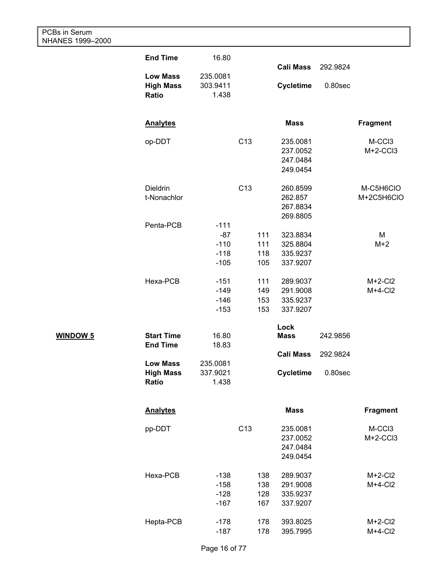| PCBs in Serum<br>NHANES 1999-2000 |                                              |                                      |                 |                          |                                              |            |                         |
|-----------------------------------|----------------------------------------------|--------------------------------------|-----------------|--------------------------|----------------------------------------------|------------|-------------------------|
|                                   | <b>End Time</b>                              | 16.80                                |                 |                          |                                              |            |                         |
|                                   | <b>Low Mass</b>                              | 235.0081                             |                 |                          | <b>Cali Mass</b>                             | 292.9824   |                         |
|                                   | <b>High Mass</b><br>Ratio                    | 303.9411<br>1.438                    |                 |                          | <b>Cycletime</b>                             | $0.80$ sec |                         |
|                                   | <b>Analytes</b>                              |                                      |                 |                          | <b>Mass</b>                                  |            | <b>Fragment</b>         |
|                                   | op-DDT                                       |                                      | C <sub>13</sub> |                          | 235.0081<br>237.0052<br>247.0484<br>249.0454 |            | M-CCI3<br>$M+2-CCI3$    |
|                                   | <b>Dieldrin</b><br>t-Nonachlor               |                                      | C <sub>13</sub> |                          | 260.8599<br>262.857<br>267.8834<br>269.8805  |            | M-C5H6CIO<br>M+2C5H6CIO |
|                                   | Penta-PCB                                    | $-111$<br>$-87$<br>$-110$            |                 | 111<br>111               | 323.8834<br>325.8804                         |            | M<br>$M+2$              |
|                                   |                                              | $-118$<br>$-105$                     |                 | 118<br>105               | 335.9237<br>337.9207                         |            |                         |
|                                   | Hexa-PCB                                     | $-151$<br>$-149$<br>$-146$           |                 | 111<br>149<br>153        | 289.9037<br>291.9008<br>335.9237             |            | $M+2-CI2$<br>$M+4-CI2$  |
|                                   |                                              | $-153$                               |                 | 153                      | 337.9207                                     |            |                         |
| <b>WINDOW 5</b>                   | <b>Start Time</b><br><b>End Time</b>         | 16.80<br>18.83                       |                 |                          | Lock<br><b>Mass</b>                          | 242.9856   |                         |
|                                   |                                              |                                      |                 |                          | <b>Cali Mass</b>                             | 292.9824   |                         |
|                                   | <b>Low Mass</b><br><b>High Mass</b><br>Ratio | 235.0081<br>337.9021<br>1.438        |                 |                          | <b>Cycletime</b>                             | $0.80$ sec |                         |
|                                   | <b>Analytes</b>                              |                                      |                 |                          | <b>Mass</b>                                  |            | <b>Fragment</b>         |
|                                   | pp-DDT                                       |                                      | C <sub>13</sub> |                          | 235.0081<br>237.0052<br>247.0484<br>249.0454 |            | M-CCI3<br>$M+2-CCI3$    |
|                                   | Hexa-PCB                                     | $-138$<br>$-158$<br>$-128$<br>$-167$ |                 | 138<br>138<br>128<br>167 | 289.9037<br>291.9008<br>335.9237<br>337.9207 |            | $M+2-CI2$<br>$M+4-CI2$  |
|                                   | Hepta-PCB                                    | $-178$<br>$-187$                     |                 | 178<br>178               | 393.8025<br>395.7995                         |            | $M+2-CI2$<br>$M+4-CI2$  |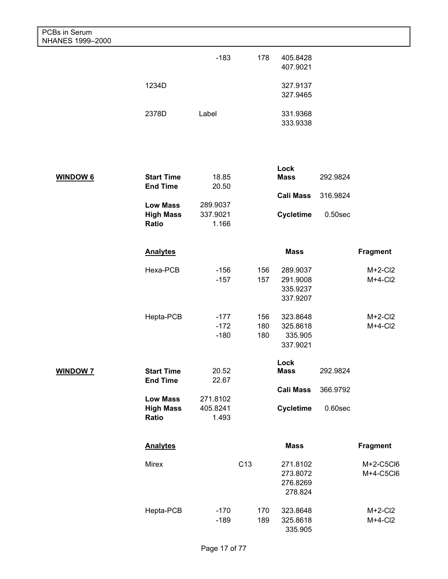| PCBs in Serum<br>NHANES 1999-2000 |                                              |                               |                 |                   |                                              |            |                        |
|-----------------------------------|----------------------------------------------|-------------------------------|-----------------|-------------------|----------------------------------------------|------------|------------------------|
|                                   |                                              | $-183$                        |                 | 178               | 405.8428<br>407.9021                         |            |                        |
|                                   | 1234D                                        |                               |                 |                   | 327.9137<br>327.9465                         |            |                        |
|                                   | 2378D                                        | Label                         |                 |                   | 331.9368<br>333.9338                         |            |                        |
|                                   |                                              |                               |                 |                   |                                              |            |                        |
| <b>WINDOW 6</b>                   | <b>Start Time</b><br><b>End Time</b>         | 18.85<br>20.50                |                 |                   | Lock<br><b>Mass</b>                          | 292.9824   |                        |
|                                   | <b>Low Mass</b>                              | 289.9037                      |                 |                   | <b>Cali Mass</b>                             | 316.9824   |                        |
|                                   | <b>High Mass</b><br>Ratio                    | 337.9021<br>1.166             |                 |                   | <b>Cycletime</b>                             | $0.50$ sec |                        |
|                                   | <b>Analytes</b>                              |                               |                 |                   | <b>Mass</b>                                  |            | <b>Fragment</b>        |
|                                   | Hexa-PCB                                     | $-156$<br>$-157$              |                 | 156<br>157        | 289.9037<br>291.9008<br>335.9237<br>337.9207 |            | $M+2-CI2$<br>$M+4-CI2$ |
|                                   | Hepta-PCB                                    | $-177$<br>$-172$<br>$-180$    |                 | 156<br>180<br>180 | 323.8648<br>325.8618<br>335.905<br>337.9021  |            | $M+2-CI2$<br>$M+4-CI2$ |
| <b>WINDOW 7</b>                   | <b>Start Time</b><br><b>End Time</b>         | 20.52<br>22.67                |                 |                   | Lock<br><b>Mass</b>                          | 292.9824   |                        |
|                                   |                                              |                               |                 |                   | <b>Cali Mass</b>                             | 366.9792   |                        |
|                                   | <b>Low Mass</b><br><b>High Mass</b><br>Ratio | 271.8102<br>405.8241<br>1.493 |                 |                   | <b>Cycletime</b>                             | $0.60$ sec |                        |
|                                   | <b>Analytes</b>                              |                               |                 |                   | <b>Mass</b>                                  |            | <b>Fragment</b>        |
|                                   | Mirex                                        |                               | C <sub>13</sub> |                   | 271.8102<br>273.8072<br>276.8269<br>278.824  |            | M+2-C5Cl6<br>M+4-C5Cl6 |
|                                   | Hepta-PCB                                    | $-170$<br>$-189$              |                 | 170<br>189        | 323.8648<br>325.8618<br>335.905              |            | $M+2-CI2$<br>$M+4-CI2$ |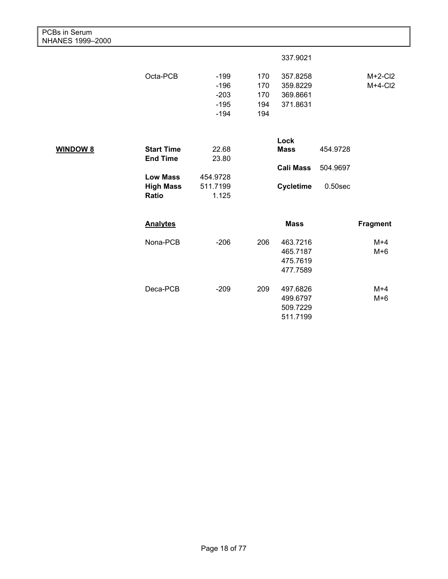| PCBs in Serum<br>NHANES 1999-2000 |                   |          |     |                  |            |                 |
|-----------------------------------|-------------------|----------|-----|------------------|------------|-----------------|
|                                   |                   |          |     | 337.9021         |            |                 |
|                                   | Octa-PCB          | $-199$   | 170 | 357.8258         |            | $M+2-CI2$       |
|                                   |                   | $-196$   | 170 | 359.8229         |            | $M+4-CI2$       |
|                                   |                   | $-203$   | 170 | 369.8661         |            |                 |
|                                   |                   | $-195$   | 194 | 371.8631         |            |                 |
|                                   |                   | $-194$   | 194 |                  |            |                 |
|                                   |                   |          |     | Lock             |            |                 |
| <b>WINDOW 8</b>                   | <b>Start Time</b> | 22.68    |     | <b>Mass</b>      | 454.9728   |                 |
|                                   | <b>End Time</b>   | 23.80    |     |                  |            |                 |
|                                   |                   |          |     | <b>Cali Mass</b> | 504.9697   |                 |
|                                   | <b>Low Mass</b>   | 454.9728 |     |                  |            |                 |
|                                   | <b>High Mass</b>  | 511.7199 |     | <b>Cycletime</b> | $0.50$ sec |                 |
|                                   | Ratio             | 1.125    |     |                  |            |                 |
|                                   | <b>Analytes</b>   |          |     | <b>Mass</b>      |            | <b>Fragment</b> |
|                                   |                   |          |     |                  |            |                 |
|                                   | Nona-PCB          | $-206$   | 206 | 463.7216         |            | $M+4$           |
|                                   |                   |          |     | 465.7187         |            | $M+6$           |
|                                   |                   |          |     | 475.7619         |            |                 |
|                                   |                   |          |     | 477.7589         |            |                 |
|                                   | Deca-PCB          | $-209$   | 209 | 497.6826         |            | $M+4$           |
|                                   |                   |          |     | 499.6797         |            | $M+6$           |
|                                   |                   |          |     | 509.7229         |            |                 |
|                                   |                   |          |     | 511.7199         |            |                 |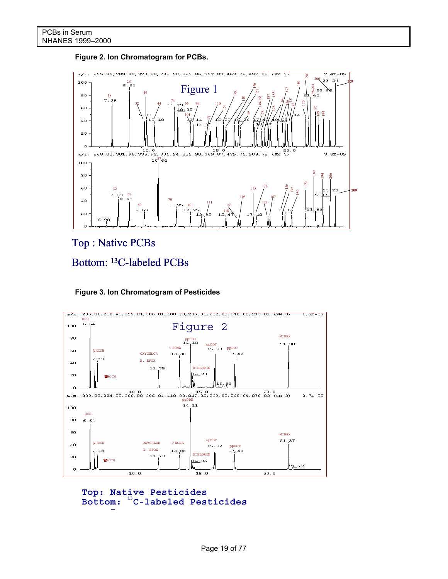#### **Figure 2. Ion Chromatogram for PCBs.**



Top : Native PCBs







```
Bottom: <sup>13</sup>C-labeled Pesticides
Top: Native Pesticides
```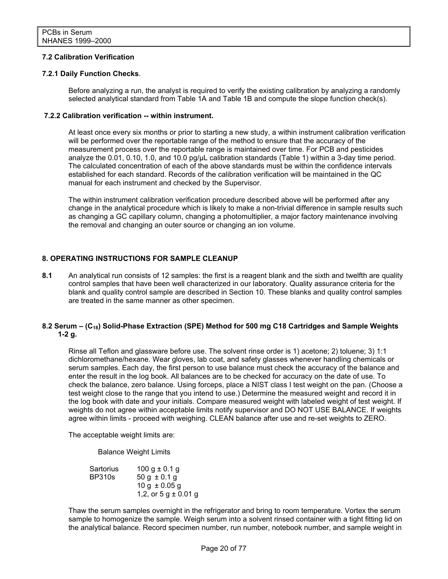#### **7.2 Calibration Verification**

#### **7.2.1 Daily Function Checks**.

Before analyzing a run, the analyst is required to verify the existing calibration by analyzing a randomly selected analytical standard from Table 1A and Table 1B and compute the slope function check(s).

#### **7.2.2 Calibration verification -- within instrument.**

At least once every six months or prior to starting a new study, a within instrument calibration verification will be performed over the reportable range of the method to ensure that the accuracy of the measurement process over the reportable range is maintained over time. For PCB and pesticides analyze the 0.01, 0.10, 1.0, and 10.0 pg/uL calibration standards (Table 1) within a 3-day time period. The calculated concentration of each of the above standards must be within the confidence intervals established for each standard. Records of the calibration verification will be maintained in the QC manual for each instrument and checked by the Supervisor.

The within instrument calibration verification procedure described above will be performed after any change in the analytical procedure which is likely to make a non-trivial difference in sample results such as changing a GC capillary column, changing a photomultiplier, a major factory maintenance involving the removal and changing an outer source or changing an ion volume.

#### **8. OPERATING INSTRUCTIONS FOR SAMPLE CLEANUP**

**8.1** An analytical run consists of 12 samples: the first is a reagent blank and the sixth and twelfth are quality control samples that have been well characterized in our laboratory. Quality assurance criteria for the blank and quality control sample are described in Section 10. These blanks and quality control samples are treated in the same manner as other specimen.

#### 8.2 Serum – (C<sub>18</sub>) Solid-Phase Extraction (SPE) Method for 500 mg C18 Cartridges and Sample Weights **1-2 g.**

Rinse all Teflon and glassware before use. The solvent rinse order is 1) acetone; 2) toluene; 3) 1:1 dichloromethane/hexane. Wear gloves, lab coat, and safety glasses whenever handling chemicals or serum samples. Each day, the first person to use balance must check the accuracy of the balance and enter the result in the log book. All balances are to be checked for accuracy on the date of use. To check the balance, zero balance. Using forceps, place a NIST class I test weight on the pan. (Choose a test weight close to the range that you intend to use.) Determine the measured weight and record it in the log book with date and your initials. Compare measured weight with labeled weight of test weight. If weights do not agree within acceptable limits notify supervisor and DO NOT USE BALANCE. If weights agree within limits - proceed with weighing. CLEAN balance after use and re-set weights to ZERO.

The acceptable weight limits are:

Balance Weight Limits

| 100 g $\pm$ 0.1 g        |
|--------------------------|
| $50 g \pm 0.1 g$         |
| $10 g \pm 0.05 g$        |
| 1,2, or $5 g \pm 0.01 g$ |
|                          |

Thaw the serum samples overnight in the refrigerator and bring to room temperature. Vortex the serum sample to homogenize the sample. Weigh serum into a solvent rinsed container with a tight fitting lid on the analytical balance. Record specimen number, run number, notebook number, and sample weight in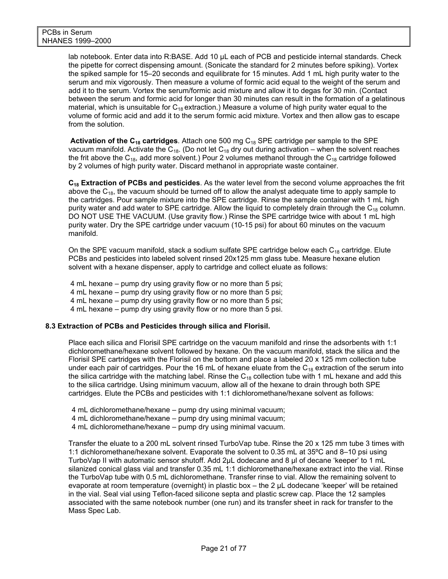lab notebook. Enter data into R:BASE. Add 10 µL each of PCB and pesticide internal standards. Check the pipette for correct dispensing amount. (Sonicate the standard for 2 minutes before spiking). Vortex the spiked sample for 15–20 seconds and equilibrate for 15 minutes. Add 1 mL high purity water to the serum and mix vigorously. Then measure a volume of formic acid equal to the weight of the serum and add it to the serum. Vortex the serum/formic acid mixture and allow it to degas for 30 min. (Contact between the serum and formic acid for longer than 30 minutes can result in the formation of a gelatinous material, which is unsuitable for  $C_{18}$  extraction.) Measure a volume of high purity water equal to the volume of formic acid and add it to the serum formic acid mixture. Vortex and then allow gas to escape from the solution.

**Activation of the C18 cartridges**. Attach one 500 mg C18 SPE cartridge per sample to the SPE vacuum manifold. Activate the C<sub>18</sub>. (Do not let C<sub>18</sub> dry out during activation – when the solvent reaches the frit above the C<sub>18</sub>, add more solvent.) Pour 2 volumes methanol through the C<sub>18</sub> cartridge followed by 2 volumes of high purity water. Discard methanol in appropriate waste container.

**C18 Extraction of PCBs and pesticides**. As the water level from the second volume approaches the frit above the  $C_{18}$ , the vacuum should be turned off to allow the analyst adequate time to apply sample to the cartridges. Pour sample mixture into the SPE cartridge. Rinse the sample container with 1 mL high purity water and add water to SPE cartridge. Allow the liquid to completely drain through the  $C_{18}$  column. DO NOT USE THE VACUUM. (Use gravity flow.) Rinse the SPE cartridge twice with about 1 mL high purity water. Dry the SPE cartridge under vacuum (10-15 psi) for about 60 minutes on the vacuum manifold.

On the SPE vacuum manifold, stack a sodium sulfate SPE cartridge below each  $C_{18}$  cartridge. Elute PCBs and pesticides into labeled solvent rinsed 20x125 mm glass tube. Measure hexane elution solvent with a hexane dispenser, apply to cartridge and collect eluate as follows:

 4 mL hexane – pump dry using gravity flow or no more than 5 psi; 4 mL hexane – pump dry using gravity flow or no more than 5 psi; 4 mL hexane – pump dry using gravity flow or no more than 5 psi; 4 mL hexane – pump dry using gravity flow or no more than 5 psi.

#### **8.3 Extraction of PCBs and Pesticides through silica and Florisil.**

Place each silica and Florisil SPE cartridge on the vacuum manifold and rinse the adsorbents with 1:1 dichloromethane/hexane solvent followed by hexane. On the vacuum manifold, stack the silica and the Florisil SPE cartridges with the Florisil on the bottom and place a labeled 20 x 125 mm collection tube under each pair of cartridges. Pour the 16 mL of hexane eluate from the  $C_{18}$  extraction of the serum into the silica cartridge with the matching label. Rinse the  $C_{18}$  collection tube with 1 mL hexane and add this to the silica cartridge. Using minimum vacuum, allow all of the hexane to drain through both SPE cartridges. Elute the PCBs and pesticides with 1:1 dichloromethane/hexane solvent as follows:

- 4 mL dichloromethane/hexane pump dry using minimal vacuum;
- 4 mL dichloromethane/hexane pump dry using minimal vacuum;
- 4 mL dichloromethane/hexane pump dry using minimal vacuum.

Transfer the eluate to a 200 mL solvent rinsed TurboVap tube. Rinse the 20 x 125 mm tube 3 times with 1:1 dichloromethane/hexane solvent. Evaporate the solvent to 0.35 mL at 35ºC and 8–10 psi using TurboVap II with automatic sensor shutoff. Add 2μL dodecane and 8 µl of decane 'keeper' to 1 mL silanized conical glass vial and transfer 0.35 mL 1:1 dichloromethane/hexane extract into the vial. Rinse the TurboVap tube with 0.5 mL dichloromethane. Transfer rinse to vial. Allow the remaining solvent to evaporate at room temperature (overnight) in plastic box – the 2 µL dodecane 'keeper' will be retained in the vial. Seal vial using Teflon-faced silicone septa and plastic screw cap. Place the 12 samples associated with the same notebook number (one run) and its transfer sheet in rack for transfer to the Mass Spec Lab.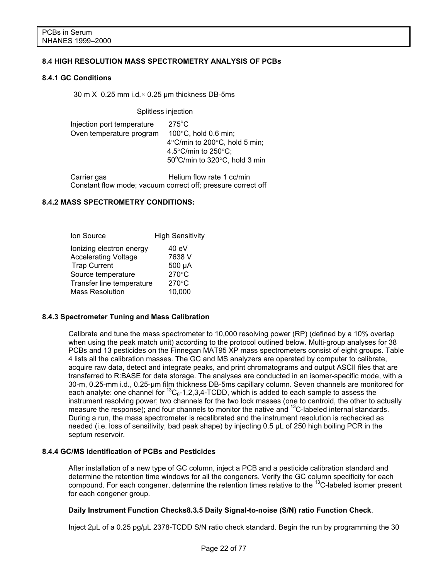#### **8.4 HIGH RESOLUTION MASS SPECTROMETRY ANALYSIS OF PCBs**

#### **8.4.1 GC Conditions**

30 m  $X$  0.25 mm i.d. $\times$  0.25 µm thickness DB-5ms

Splitless injection

| Injection port temperature<br>Oven temperature program | $275^{\circ}$ C<br>$100^{\circ}$ C, hold 0.6 min;<br>4 $\degree$ C/min to 200 $\degree$ C, hold 5 min;<br>4.5 $\degree$ C/min to 250 $\degree$ C;<br>50°C/min to 320°C, hold 3 min |
|--------------------------------------------------------|------------------------------------------------------------------------------------------------------------------------------------------------------------------------------------|
|                                                        |                                                                                                                                                                                    |

Carrier gas **Helium flow rate 1 cc/min** Constant flow mode; vacuum correct off; pressure correct off

#### **8.4.2 MASS SPECTROMETRY CONDITIONS:**

| Ion Source                  | <b>High Sensitivity</b> |
|-----------------------------|-------------------------|
| lonizing electron energy    | 40 eV                   |
| <b>Accelerating Voltage</b> | 7638 V                  |
| <b>Trap Current</b>         | 500 µA                  |
| Source temperature          | 270°C                   |
| Transfer line temperature   | $270^{\circ}$ C         |
| <b>Mass Resolution</b>      | 10,000                  |

#### **8.4.3 Spectrometer Tuning and Mass Calibration**

Calibrate and tune the mass spectrometer to 10,000 resolving power (RP) (defined by a 10% overlap when using the peak match unit) according to the protocol outlined below. Multi-group analyses for 38 PCBs and 13 pesticides on the Finnegan MAT95 XP mass spectrometers consist of eight groups. Table 4 lists all the calibration masses. The GC and MS analyzers are operated by computer to calibrate, acquire raw data, detect and integrate peaks, and print chromatograms and output ASCII files that are transferred to R:BASE for data storage. The analyses are conducted in an isomer-specific mode, with a 30-m, 0.25-mm i.d., 0.25-μm film thickness DB-5ms capillary column. Seven channels are monitored for each analyte: one channel for  ${}^{13}C_{6}$ -1,2,3,4-TCDD, which is added to each sample to assess the instrument resolving power; two channels for the two lock masses (one to centroid, the other to actually measure the response); and four channels to monitor the native and <sup>13</sup>C-labeled internal standards. During a run, the mass spectrometer is recalibrated and the instrument resolution is rechecked as needed (i.e. loss of sensitivity, bad peak shape) by injecting 0.5 μL of 250 high boiling PCR in the septum reservoir.

#### **8.4.4 GC/MS Identification of PCBs and Pesticides**

After installation of a new type of GC column, inject a PCB and a pesticide calibration standard and determine the retention time windows for all the congeners. Verify the GC column specificity for each compound. For each congener, determine the retention times relative to the <sup>13</sup>C-labeled isomer present for each congener group.

#### **Daily Instrument Function Checks8.3.5 Daily Signal-to-noise (S/N) ratio Function Check**.

Inject 2μL of a 0.25 pg/μL 2378-TCDD S/N ratio check standard. Begin the run by programming the 30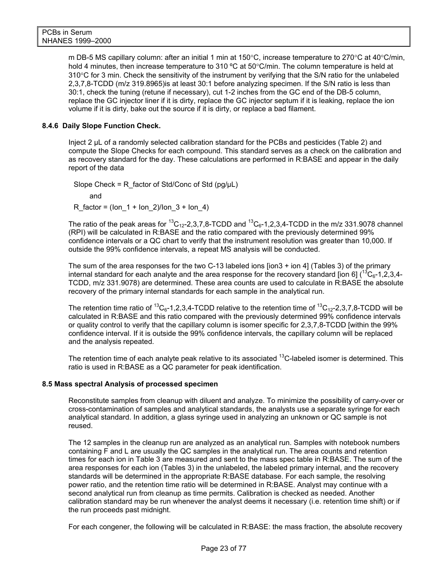m DB-5 MS capillary column: after an initial 1 min at 150°C, increase temperature to 270°C at 40°C/min, hold 4 minutes, then increase temperature to 310 °C at 50°C/min. The column temperature is held at 310°C for 3 min. Check the sensitivity of the instrument by verifying that the S/N ratio for the unlabeled 2,3,7,8-TCDD (m/z 319.8965)is at least 30:1 before analyzing specimen. If the S/N ratio is less than 30:1, check the tuning (retune if necessary), cut 1-2 inches from the GC end of the DB-5 column, replace the GC injector liner if it is dirty, replace the GC injector septum if it is leaking, replace the ion volume if it is dirty, bake out the source if it is dirty, or replace a bad filament.

#### **8.4.6 Daily Slope Function Check.**

Inject 2 μL of a randomly selected calibration standard for the PCBs and pesticides (Table 2) and compute the Slope Checks for each compound. This standard serves as a check on the calibration and as recovery standard for the day. These calculations are performed in R:BASE and appear in the daily report of the data

Slope Check = R factor of Std/Conc of Std (pg/ $\mu$ L) and R factor = (Ion  $1 +$  Ion  $2$ )/Ion  $3 +$  Ion 4)

The ratio of the peak areas for  ${}^{13}C_{12}$ -2,3,7,8-TCDD and  ${}^{13}C_{6}$ -1,2,3,4-TCDD in the m/z 331.9078 channel (RPI) will be calculated in R:BASE and the ratio compared with the previously determined 99% confidence intervals or a QC chart to verify that the instrument resolution was greater than 10,000. If outside the 99% confidence intervals, a repeat MS analysis will be conducted.

The sum of the area responses for the two C-13 labeled ions  $\lceil \frac{1}{100} \rceil$  (Tables 3) of the primary internal standard for each analyte and the area response for the recovery standard [ion 6]  $(^{13}C_{6} - 1.2,3,4-$ TCDD, m/z 331.9078) are determined. These area counts are used to calculate in R:BASE the absolute recovery of the primary internal standards for each sample in the analytical run.

The retention time ratio of <sup>13</sup>C<sub>6</sub>-1,2,3,4-TCDD relative to the retention time of <sup>13</sup>C<sub>12</sub>-2,3,7,8-TCDD will be calculated in R:BASE and this ratio compared with the previously determined 99% confidence intervals or quality control to verify that the capillary column is isomer specific for 2,3,7,8-TCDD [within the 99% confidence interval. If it is outside the 99% confidence intervals, the capillary column will be replaced and the analysis repeated.

The retention time of each analyte peak relative to its associated <sup>13</sup>C-labeled isomer is determined. This ratio is used in R:BASE as a QC parameter for peak identification.

#### **8.5 Mass spectral Analysis of processed specimen**

Reconstitute samples from cleanup with diluent and analyze. To minimize the possibility of carry-over or cross-contamination of samples and analytical standards, the analysts use a separate syringe for each analytical standard. In addition, a glass syringe used in analyzing an unknown or QC sample is not reused.

The 12 samples in the cleanup run are analyzed as an analytical run. Samples with notebook numbers containing F and L are usually the QC samples in the analytical run. The area counts and retention times for each ion in Table 3 are measured and sent to the mass spec table in R:BASE. The sum of the area responses for each ion (Tables 3) in the unlabeled, the labeled primary internal, and the recovery standards will be determined in the appropriate R:BASE database. For each sample, the resolving power ratio, and the retention time ratio will be determined in R:BASE. Analyst may continue with a second analytical run from cleanup as time permits. Calibration is checked as needed. Another calibration standard may be run whenever the analyst deems it necessary (i.e. retention time shift) or if the run proceeds past midnight.

For each congener, the following will be calculated in R:BASE: the mass fraction, the absolute recovery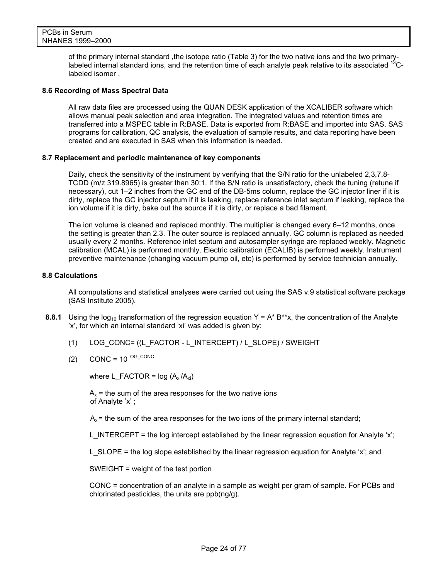of the primary internal standard ,the isotope ratio (Table 3) for the two native ions and the two primarylabeled internal standard ions, and the retention time of each analyte peak relative to its associated <sup>13</sup>Clabeled isomer .

#### **8.6 Recording of Mass Spectral Data**

All raw data files are processed using the QUAN DESK application of the XCALIBER software which allows manual peak selection and area integration. The integrated values and retention times are transferred into a MSPEC table in R:BASE. Data is exported from R:BASE and imported into SAS. SAS programs for calibration, QC analysis, the evaluation of sample results, and data reporting have been created and are executed in SAS when this information is needed.

#### **8.7 Replacement and periodic maintenance of key components**

Daily, check the sensitivity of the instrument by verifying that the S/N ratio for the unlabeled 2,3,7,8- TCDD (m/z 319.8965) is greater than 30:1. If the S/N ratio is unsatisfactory, check the tuning (retune if necessary), cut 1–2 inches from the GC end of the DB-5ms column, replace the GC injector liner if it is dirty, replace the GC injector septum if it is leaking, replace reference inlet septum if leaking, replace the ion volume if it is dirty, bake out the source if it is dirty, or replace a bad filament.

The ion volume is cleaned and replaced monthly. The multiplier is changed every 6–12 months, once the setting is greater than 2.3. The outer source is replaced annually. GC column is replaced as needed usually every 2 months. Reference inlet septum and autosampler syringe are replaced weekly. Magnetic calibration (MCAL) is performed monthly. Electric calibration (ECALIB) is performed weekly. Instrument preventive maintenance (changing vacuum pump oil, etc) is performed by service technician annually.

#### **8.8 Calculations**

All computations and statistical analyses were carried out using the SAS v.9 statistical software package (SAS Institute 2005).

- **8.8.1** Using the log<sub>10</sub> transformation of the regression equation  $Y = A^* B^{**}x$ , the concentration of the Analyte 'x', for which an internal standard 'xi' was added is given by:
	- (1) LOG\_CONC= ((L\_FACTOR L\_INTERCEPT) / L\_SLOPE) / SWEIGHT
	- $(2)$  CONC =  $10^{LOG\_CONC}$

where L\_FACTOR =  $log (A_x / A_{xi})$ 

 $A<sub>x</sub>$  = the sum of the area responses for the two native ions of Analyte 'x' ;

 $A_{xi}$ = the sum of the area responses for the two ions of the primary internal standard;

L\_INTERCEPT = the log intercept established by the linear regression equation for Analyte 'x';

L SLOPE = the log slope established by the linear regression equation for Analyte 'x'; and

SWEIGHT = weight of the test portion

 CONC = concentration of an analyte in a sample as weight per gram of sample. For PCBs and chlorinated pesticides, the units are ppb(ng/g).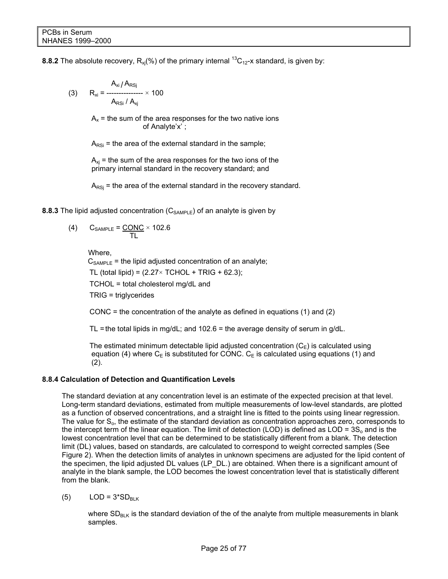**8.8.2** The absolute recovery,  $R_{xi}(\%)$  of the primary internal <sup>13</sup>C<sub>12</sub>-x standard, is given by:

(3) 
$$
R_{xi} = \frac{A_{xi} / A_{RSj}}{A_{RSj} / A_{xj}} \times 100
$$

 $A_x$  = the sum of the area responses for the two native ions of Analyte'x' ;

 $A_{RSi}$  = the area of the external standard in the sample;

 $A_{xi}$  = the sum of the area responses for the two ions of the primary internal standard in the recovery standard; and

 $A_{RSi}$  = the area of the external standard in the recovery standard.

**8.8.3** The lipid adjusted concentration  $(C_{SAMPLE})$  of an analyte is given by

$$
(4) \qquad C_{\text{SAMPLE}} = \frac{\text{CONC}}{\text{TL}} \times 102.6
$$

Where,

 $C_{SAMPLE}$  = the lipid adjusted concentration of an analyte;

TL (total lipid) =  $(2.27 \times \text{TCHOL} + \text{TRIG} + 62.3);$ 

TCHOL = total cholesterol mg/dL and

TRIG = triglycerides

CONC = the concentration of the analyte as defined in equations  $(1)$  and  $(2)$ 

TL = the total lipids in mg/dL; and  $102.6$  = the average density of serum in g/dL.

The estimated minimum detectable lipid adjusted concentration  $(C_E)$  is calculated using equation (4) where  $C_E$  is substituted for CONC.  $C_E$  is calculated using equations (1) and (2).

#### **8.8.4 Calculation of Detection and Quantification Levels**

The standard deviation at any concentration level is an estimate of the expected precision at that level. Long-term standard deviations, estimated from multiple measurements of low-level standards, are plotted as a function of observed concentrations, and a straight line is fitted to the points using linear regression. The value for  $S<sub>o</sub>$ , the estimate of the standard deviation as concentration approaches zero, corresponds to the intercept term of the linear equation. The limit of detection (LOD) is defined as  $LOD = 3S<sub>o</sub>$  and is the lowest concentration level that can be determined to be statistically different from a blank. The detection limit (DL) values, based on standards, are calculated to correspond to weight corrected samples (See Figure 2). When the detection limits of analytes in unknown specimens are adjusted for the lipid content of the specimen, the lipid adjusted DL values (LP\_DL.) are obtained. When there is a significant amount of analyte in the blank sample, the LOD becomes the lowest concentration level that is statistically different from the blank.

(5)  $LOD = 3*SD_{BIK}$ 

where  $SD<sub>BLK</sub>$  is the standard deviation of the of the analyte from multiple measurements in blank samples.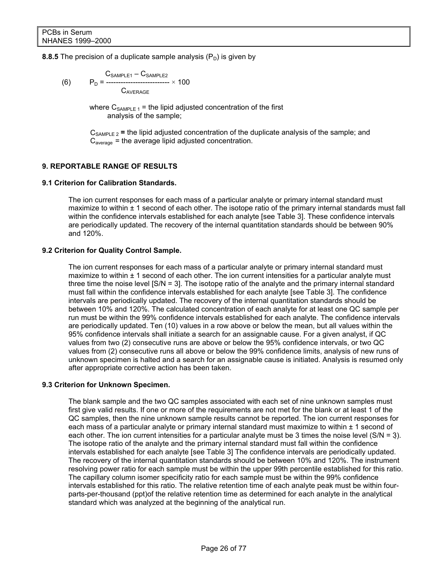#### **8.8.5** The precision of a duplicate sample analysis  $(P_D)$  is given by

$$
\begin{array}{ll}\n & C_{\text{SAMPLE1}} - C_{\text{SAMPLE2}} \\
\text{(6)} & P_{\text{D}} = \frac{C_{\text{SAMPLE2}}}{C_{\text{AVERAGE}}} \times 100\n\end{array}
$$

where  $C_{SAMPLE 1}$  = the lipid adjusted concentration of the first analysis of the sample;

 $C_{SAMPLE 2}$  = the lipid adjusted concentration of the duplicate analysis of the sample; and  $C_{average}$  = the average lipid adjusted concentration.

#### **9. REPORTABLE RANGE OF RESULTS**

#### **9.1 Criterion for Calibration Standards.**

The ion current responses for each mass of a particular analyte or primary internal standard must maximize to within  $\pm$  1 second of each other. The isotope ratio of the primary internal standards must fall within the confidence intervals established for each analyte [see Table 3]. These confidence intervals are periodically updated. The recovery of the internal quantitation standards should be between 90% and 120%.

#### **9.2 Criterion for Quality Control Sample.**

The ion current responses for each mass of a particular analyte or primary internal standard must maximize to within  $\pm$  1 second of each other. The ion current intensities for a particular analyte must three time the noise level [S/N = 3]. The isotope ratio of the analyte and the primary internal standard must fall within the confidence intervals established for each analyte [see Table 3]. The confidence intervals are periodically updated. The recovery of the internal quantitation standards should be between 10% and 120%. The calculated concentration of each analyte for at least one QC sample per run must be within the 99% confidence intervals established for each analyte. The confidence intervals are periodically updated. Ten (10) values in a row above or below the mean, but all values within the 95% confidence intervals shall initiate a search for an assignable cause. For a given analyst, if QC values from two (2) consecutive runs are above or below the 95% confidence intervals, or two QC values from (2) consecutive runs all above or below the 99% confidence limits, analysis of new runs of unknown specimen is halted and a search for an assignable cause is initiated. Analysis is resumed only after appropriate corrective action has been taken.

#### **9.3 Criterion for Unknown Specimen.**

The blank sample and the two QC samples associated with each set of nine unknown samples must first give valid results. If one or more of the requirements are not met for the blank or at least 1 of the QC samples, then the nine unknown sample results cannot be reported. The ion current responses for each mass of a particular analyte or primary internal standard must maximize to within  $\pm$  1 second of each other. The ion current intensities for a particular analyte must be 3 times the noise level (S/N = 3). The isotope ratio of the analyte and the primary internal standard must fall within the confidence intervals established for each analyte [see Table 3] The confidence intervals are periodically updated. The recovery of the internal quantitation standards should be between 10% and 120%. The instrument resolving power ratio for each sample must be within the upper 99th percentile established for this ratio. The capillary column isomer specificity ratio for each sample must be within the 99% confidence intervals established for this ratio. The relative retention time of each analyte peak must be within fourparts-per-thousand (ppt)of the relative retention time as determined for each analyte in the analytical standard which was analyzed at the beginning of the analytical run.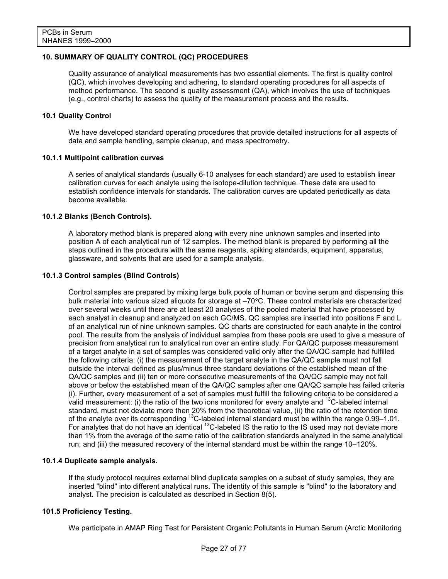#### **10. SUMMARY OF QUALITY CONTROL (QC) PROCEDURES**

Quality assurance of analytical measurements has two essential elements. The first is quality control (QC), which involves developing and adhering, to standard operating procedures for all aspects of method performance. The second is quality assessment (QA), which involves the use of techniques (e.g., control charts) to assess the quality of the measurement process and the results.

#### **10.1 Quality Control**

We have developed standard operating procedures that provide detailed instructions for all aspects of data and sample handling, sample cleanup, and mass spectrometry.

#### **10.1.1 Multipoint calibration curves**

A series of analytical standards (usually 6-10 analyses for each standard) are used to establish linear calibration curves for each analyte using the isotope-dilution technique. These data are used to establish confidence intervals for standards. The calibration curves are updated periodically as data become available.

#### **10.1.2 Blanks (Bench Controls).**

A laboratory method blank is prepared along with every nine unknown samples and inserted into position A of each analytical run of 12 samples. The method blank is prepared by performing all the steps outlined in the procedure with the same reagents, spiking standards, equipment, apparatus, glassware, and solvents that are used for a sample analysis.

#### **10.1.3 Control samples (Blind Controls)**

Control samples are prepared by mixing large bulk pools of human or bovine serum and dispensing this bulk material into various sized aliquots for storage at –70°C. These control materials are characterized over several weeks until there are at least 20 analyses of the pooled material that have processed by each analyst in cleanup and analyzed on each GC/MS. QC samples are inserted into positions F and L of an analytical run of nine unknown samples. QC charts are constructed for each analyte in the control pool. The results from the analysis of individual samples from these pools are used to give a measure of precision from analytical run to analytical run over an entire study. For QA/QC purposes measurement of a target analyte in a set of samples was considered valid only after the QA/QC sample had fulfilled the following criteria: (i) the measurement of the target analyte in the QA/QC sample must not fall outside the interval defined as plus/minus three standard deviations of the established mean of the QA/QC samples and (ii) ten or more consecutive measurements of the QA/QC sample may not fall above or below the established mean of the QA/QC samples after one QA/QC sample has failed criteria (i). Further, every measurement of a set of samples must fulfill the following criteria to be considered a valid measurement: (i) the ratio of the two ions monitored for every analyte and  $^{13}$ C-labeled internal standard, must not deviate more then 20% from the theoretical value, (ii) the ratio of the retention time of the analyte over its corresponding  $^{13}$ C-labeled internal standard must be within the range 0.99–1.01. For analytes that do not have an identical <sup>13</sup>C-labeled IS the ratio to the IS used may not deviate more than 1% from the average of the same ratio of the calibration standards analyzed in the same analytical run; and (iii) the measured recovery of the internal standard must be within the range 10–120%.

#### **10.1.4 Duplicate sample analysis.**

If the study protocol requires external blind duplicate samples on a subset of study samples, they are inserted "blind" into different analytical runs. The identity of this sample is "blind" to the laboratory and analyst. The precision is calculated as described in Section 8(5).

#### **101.5 Proficiency Testing.**

We participate in AMAP Ring Test for Persistent Organic Pollutants in Human Serum (Arctic Monitoring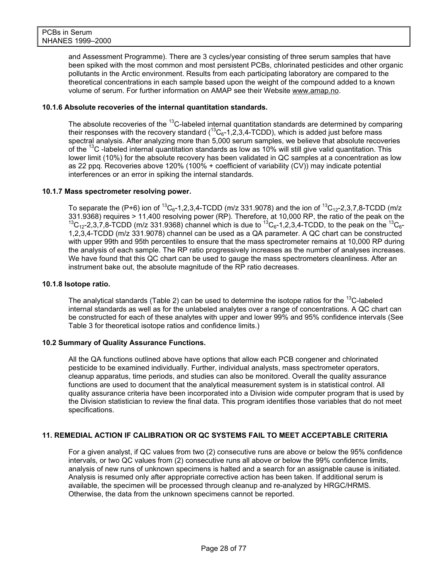and Assessment Programme). There are 3 cycles/year consisting of three serum samples that have been spiked with the most common and most persistent PCBs, chlorinated pesticides and other organic pollutants in the Arctic environment. Results from each participating laboratory are compared to the theoretical concentrations in each sample based upon the weight of the compound added to a known volume of serum. For further information on AMAP see their Website [www.amap.no](http://www.amap.no/).

#### **10.1.6 Absolute recoveries of the internal quantitation standards.**

The absolute recoveries of the <sup>13</sup>C-labeled internal quantitation standards are determined by comparing their responses with the recovery standard  $(^{13}C_6 - 1,2,3,4$ -TCDD), which is added just before mass spectral analysis. After analyzing more than 5,000 serum samples, we believe that absolute recoveries of the  $13C$  -labeled internal quantitation standards as low as 10% will still give valid quantitation. This lower limit (10%) for the absolute recovery has been validated in QC samples at a concentration as low as 22 ppq. Recoveries above 120% (100% + coefficient of variability (CV)) may indicate potential interferences or an error in spiking the internal standards.

#### **10.1.7 Mass spectrometer resolving power.**

To separate the (P+6) ion of  ${}^{13}C_{6}$ -1,2,3,4-TCDD (m/z 331.9078) and the ion of  ${}^{13}C_{12}$ -2,3,7,8-TCDD (m/z 331.9368) requires > 11,400 resolving power (RP). Therefore, at 10,000 RP, the ratio of the peak on the  $^{13}C_{12}$ -2,3,7,8-TCDD (m/z 331.9368) channel which is due to  $^{13}C_{6}$ -1,2,3,4-TCDD, to the peak on the  $^{13}C_{6}$ -1,2,3,4-TCDD (m/z 331.9078) channel can be used as a QA parameter. A QC chart can be constructed with upper 99th and 95th percentiles to ensure that the mass spectrometer remains at 10,000 RP during the analysis of each sample. The RP ratio progressively increases as the number of analyses increases. We have found that this QC chart can be used to gauge the mass spectrometers cleanliness. After an instrument bake out, the absolute magnitude of the RP ratio decreases.

#### **10.1.8 Isotope ratio.**

The analytical standards (Table 2) can be used to determine the isotope ratios for the  $^{13}$ C-labeled internal standards as well as for the unlabeled analytes over a range of concentrations. A QC chart can be constructed for each of these analytes with upper and lower 99% and 95% confidence intervals (See Table 3 for theoretical isotope ratios and confidence limits.)

#### **10.2 Summary of Quality Assurance Functions.**

All the QA functions outlined above have options that allow each PCB congener and chlorinated pesticide to be examined individually. Further, individual analysts, mass spectrometer operators, cleanup apparatus, time periods, and studies can also be monitored. Overall the quality assurance functions are used to document that the analytical measurement system is in statistical control. All quality assurance criteria have been incorporated into a Division wide computer program that is used by the Division statistician to review the final data. This program identifies those variables that do not meet specifications.

#### **11. REMEDIAL ACTION IF CALIBRATION OR QC SYSTEMS FAIL TO MEET ACCEPTABLE CRITERIA**

For a given analyst, if QC values from two (2) consecutive runs are above or below the 95% confidence intervals, or two QC values from (2) consecutive runs all above or below the 99% confidence limits, analysis of new runs of unknown specimens is halted and a search for an assignable cause is initiated. Analysis is resumed only after appropriate corrective action has been taken. If additional serum is available, the specimen will be processed through cleanup and re-analyzed by HRGC/HRMS. Otherwise, the data from the unknown specimens cannot be reported.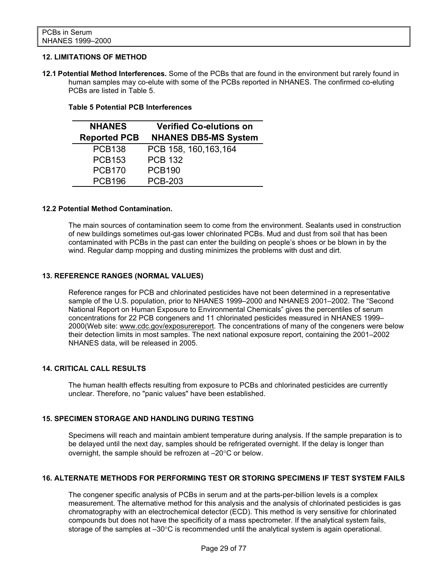#### **12. LIMITATIONS OF METHOD**

**12.1 Potential Method Interferences.** Some of the PCBs that are found in the environment but rarely found in human samples may co-elute with some of the PCBs reported in NHANES. The confirmed co-eluting PCBs are listed in Table 5.

#### **Table 5 Potential PCB Interferences**

| <b>NHANES</b>       | <b>Verified Co-elutions on</b> |  |  |  |  |
|---------------------|--------------------------------|--|--|--|--|
| <b>Reported PCB</b> | <b>NHANES DB5-MS System</b>    |  |  |  |  |
| <b>PCB138</b>       | PCB 158, 160, 163, 164         |  |  |  |  |
| <b>PCB153</b>       | <b>PCB 132</b>                 |  |  |  |  |
| <b>PCB170</b>       | <b>PCB190</b>                  |  |  |  |  |
| <b>PCB196</b>       | <b>PCB-203</b>                 |  |  |  |  |

#### **12.2 Potential Method Contamination.**

The main sources of contamination seem to come from the environment. Sealants used in construction of new buildings sometimes out-gas lower chlorinated PCBs. Mud and dust from soil that has been contaminated with PCBs in the past can enter the building on people's shoes or be blown in by the wind. Regular damp mopping and dusting minimizes the problems with dust and dirt.

#### **13. REFERENCE RANGES (NORMAL VALUES)**

Reference ranges for PCB and chlorinated pesticides have not been determined in a representative sample of the U.S. population, prior to NHANES 1999–2000 and NHANES 2001–2002. The "Second National Report on Human Exposure to Environmental Chemicals" gives the percentiles of serum concentrations for 22 PCB congeners and 11 chlorinated pesticides measured in NHANES 1999– 2000(Web site: [www.cdc.gov/exposurereport](http://www.cdc.gov/exposurereport). The concentrations of many of the congeners were below their detection limits in most samples. The next national exposure report, containing the 2001–2002 NHANES data, will be released in 2005.

#### **14. CRITICAL CALL RESULTS**

The human health effects resulting from exposure to PCBs and chlorinated pesticides are currently unclear. Therefore, no "panic values" have been established.

#### **15. SPECIMEN STORAGE AND HANDLING DURING TESTING**

Specimens will reach and maintain ambient temperature during analysis. If the sample preparation is to be delayed until the next day, samples should be refrigerated overnight. If the delay is longer than overnight, the sample should be refrozen at –20°C or below.

#### **16. ALTERNATE METHODS FOR PERFORMING TEST OR STORING SPECIMENS IF TEST SYSTEM FAILS**

The congener specific analysis of PCBs in serum and at the parts-per-billion levels is a complex measurement. The alternative method for this analysis and the analysis of chlorinated pesticides is gas chromatography with an electrochemical detector (ECD). This method is very sensitive for chlorinated compounds but does not have the specificity of a mass spectrometer. If the analytical system fails, storage of the samples at –30°C is recommended until the analytical system is again operational.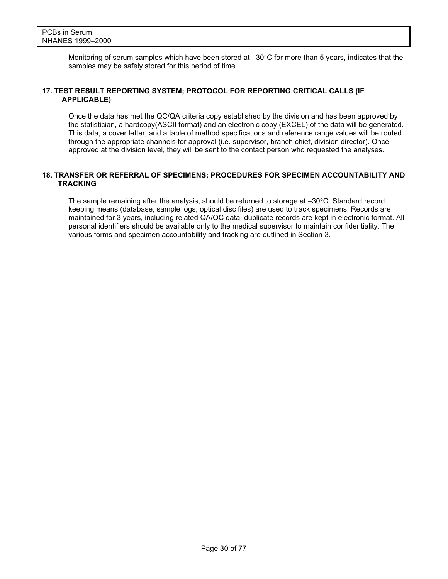Monitoring of serum samples which have been stored at  $-30^{\circ}$ C for more than 5 years, indicates that the samples may be safely stored for this period of time.

#### **17. TEST RESULT REPORTING SYSTEM; PROTOCOL FOR REPORTING CRITICAL CALLS (IF APPLICABLE)**

Once the data has met the QC/QA criteria copy established by the division and has been approved by the statistician, a hardcopy(ASCII format) and an electronic copy (EXCEL) of the data will be generated. This data, a cover letter, and a table of method specifications and reference range values will be routed through the appropriate channels for approval (i.e. supervisor, branch chief, division director). Once approved at the division level, they will be sent to the contact person who requested the analyses.

#### **18. TRANSFER OR REFERRAL OF SPECIMENS; PROCEDURES FOR SPECIMEN ACCOUNTABILITY AND TRACKING**

The sample remaining after the analysis, should be returned to storage at –30°C. Standard record keeping means (database, sample logs, optical disc files) are used to track specimens. Records are maintained for 3 years, including related QA/QC data; duplicate records are kept in electronic format. All personal identifiers should be available only to the medical supervisor to maintain confidentiality. The various forms and specimen accountability and tracking are outlined in Section 3.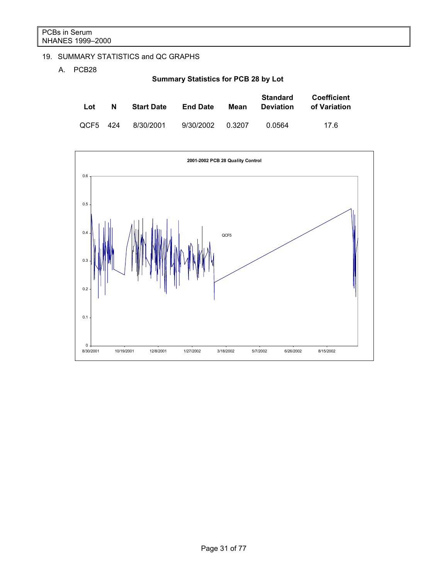# 19. SUMMARY STATISTICS and QC GRAPHS

A. PCB28

**Summary Statistics for PCB 28 by Lot** 

| Lot      | N | <b>Start Date</b> | <b>End Date</b> | Mean   | Standard<br><b>Deviation</b> | <b>Coefficient</b><br>of Variation |
|----------|---|-------------------|-----------------|--------|------------------------------|------------------------------------|
| QCF5 424 |   | 8/30/2001         | 9/30/2002       | 0.3207 | 0.0564                       | 17 6                               |

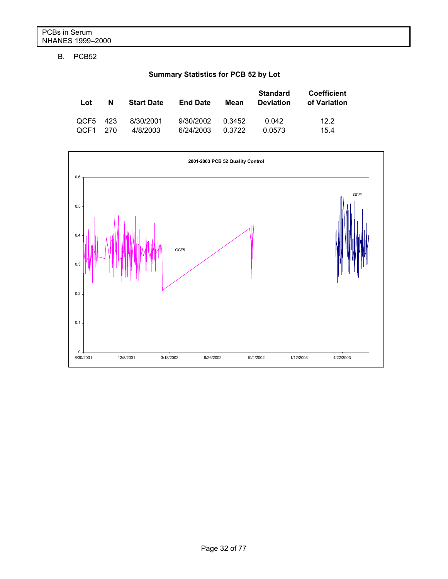# B. PCB52

# **Summary Statistics for PCB 52 by Lot**

| Lot      | N | <b>Start Date</b> | <b>End Date</b> | Mean   | <b>Standard</b><br><b>Deviation</b> | <b>Coefficient</b><br>of Variation |
|----------|---|-------------------|-----------------|--------|-------------------------------------|------------------------------------|
| QCF5 423 |   | 8/30/2001         | 9/30/2002       | 0.3452 | በ በ42                               | 12.2                               |
| QCF1 270 |   | 4/8/2003          | 6/24/2003       | 0.3722 | 0.0573                              | 15.4                               |

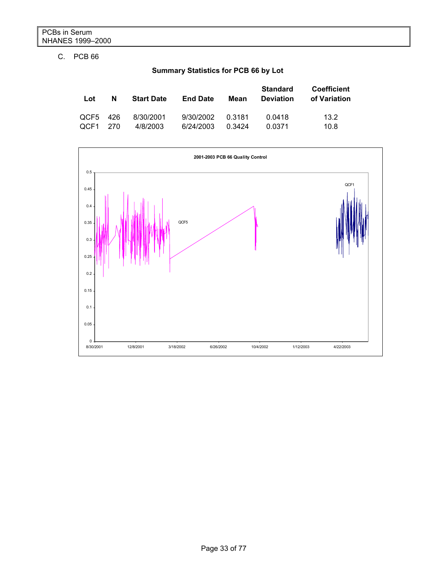# C. PCB 66

|  | <b>Summary Statistics for PCB 66 by Lot</b> |  |  |
|--|---------------------------------------------|--|--|
|--|---------------------------------------------|--|--|

| Lot      | N | <b>Start Date</b> | <b>End Date</b> | Mean   | <b>Standard</b><br><b>Deviation</b> | Coefficient<br>of Variation |
|----------|---|-------------------|-----------------|--------|-------------------------------------|-----------------------------|
| QCF5 426 |   | 8/30/2001         | 9/30/2002       | 0.3181 | 0.0418                              | 13.2                        |
| OCF1 270 |   | 4/8/2003          | 6/24/2003       | 0.3424 | 0.0371                              | 10.8                        |

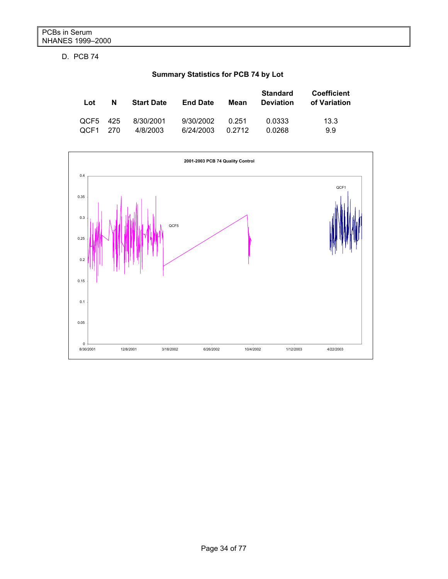D. PCB 74

# **Summary Statistics for PCB 74 by Lot**

| Lot      | N    | <b>Start Date</b> | <b>End Date</b> | Mean   | <b>Standard</b><br><b>Deviation</b> | <b>Coefficient</b><br>of Variation |
|----------|------|-------------------|-----------------|--------|-------------------------------------|------------------------------------|
| QCF5 425 | -270 | 8/30/2001         | 9/30/2002       | 0.251  | 0.0333                              | 13.3                               |
| OCF1     |      | 4/8/2003          | 6/24/2003       | 0.2712 | 0.0268                              | 9.9                                |

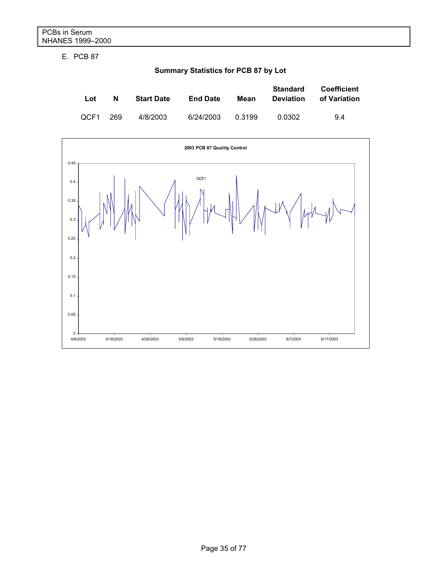E. PCB 87

**Summary Statistics for PCB 87 by Lot**

| Lot  | N   | <b>Start Date</b> | <b>End Date</b> | Mean   | <b>Standard</b><br><b>Deviation</b> | <b>Coefficient</b><br>of Variation |
|------|-----|-------------------|-----------------|--------|-------------------------------------|------------------------------------|
| OCF1 | 269 | 4/8/2003          | 6/24/2003       | 0.3199 | 0.0302                              | 9.4                                |

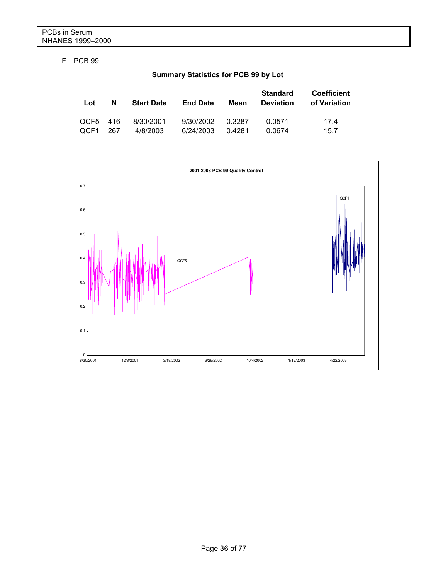# F. PCB 99

# **Summary Statistics for PCB 99 by Lot**

| Lot      | N   | <b>Start Date</b> | <b>End Date</b> | Mean   | <b>Standard</b><br><b>Deviation</b> | <b>Coefficient</b><br>of Variation |
|----------|-----|-------------------|-----------------|--------|-------------------------------------|------------------------------------|
| QCF5 416 | 267 | 8/30/2001         | 9/30/2002       | 0.3287 | 0.0571                              | 174                                |
| OCF1     |     | 4/8/2003          | 6/24/2003       | 0.4281 | 0.0674                              | 15.7                               |

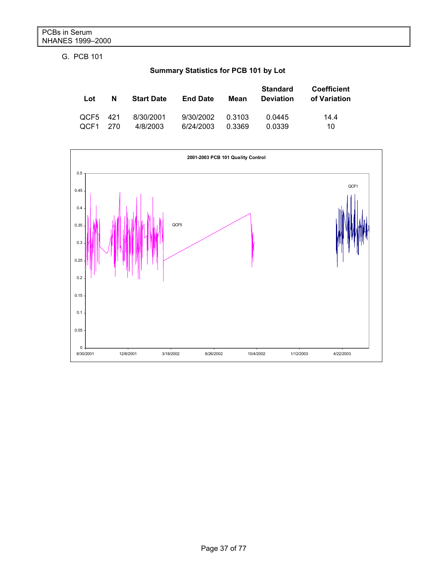G. PCB 101

|  | Summary Statistics for PCB 101 by Lot |  |  |  |
|--|---------------------------------------|--|--|--|
|--|---------------------------------------|--|--|--|

| Lot      | N   | <b>Start Date</b> | <b>End Date</b> | Mean   | <b>Standard</b><br><b>Deviation</b> | <b>Coefficient</b><br>of Variation |
|----------|-----|-------------------|-----------------|--------|-------------------------------------|------------------------------------|
| QCF5 421 | 270 | 8/30/2001         | 9/30/2002       | 0.3103 | 0.0445                              | 14.4                               |
| OCF1     |     | 4/8/2003          | 6/24/2003       | 0.3369 | 0.0339                              | 10                                 |

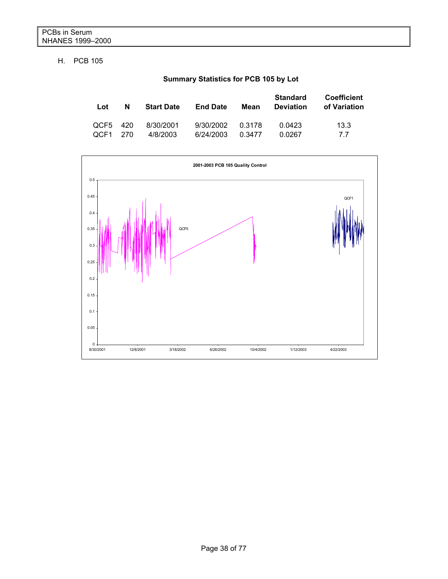#### H. PCB 105

## **Summary Statistics for PCB 105 by Lot**

| Lot      | N | <b>Start Date</b> | <b>End Date</b> | Mean   | <b>Standard</b><br><b>Deviation</b> | <b>Coefficient</b><br>of Variation |
|----------|---|-------------------|-----------------|--------|-------------------------------------|------------------------------------|
| QCF5 420 |   | 8/30/2001         | 9/30/2002       | 0.3178 | 0.0423                              | 13.3                               |
| OCF1 270 |   | 4/8/2003          | 6/24/2003       | 0.3477 | 0.0267                              | 77                                 |

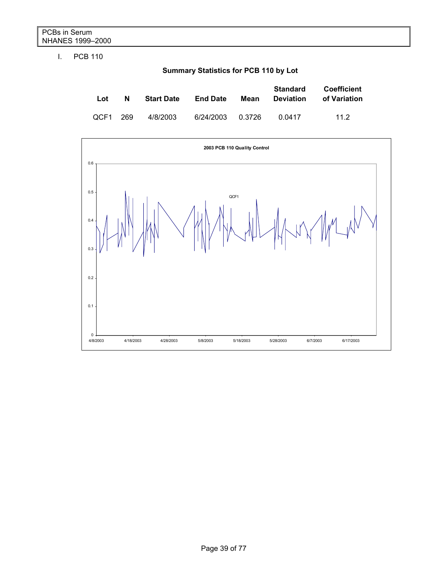I. PCB 110

**Summary Statistics for PCB 110 by Lot** 

| Lot      | N | <b>Start Date</b> | <b>End Date</b> | Mean   | <b>Standard</b><br><b>Deviation</b> | <b>Coefficient</b><br>of Variation |
|----------|---|-------------------|-----------------|--------|-------------------------------------|------------------------------------|
| OCF1 269 |   | 4/8/2003          | 6/24/2003       | 0.3726 | 0.0417                              | 11.2                               |

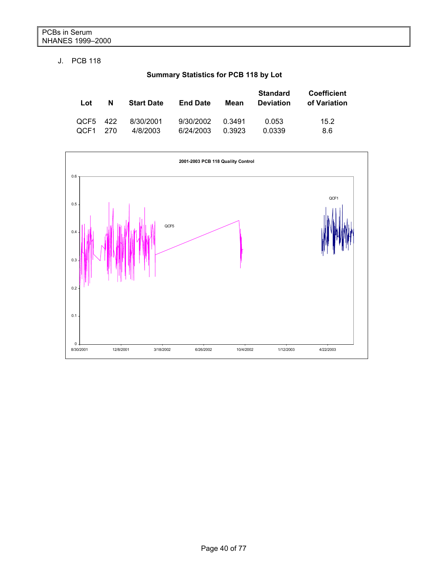#### J. PCB 118

## **Summary Statistics for PCB 118 by Lot**

| Lot      | N    | <b>Start Date</b> | <b>End Date</b> | Mean   | <b>Standard</b><br><b>Deviation</b> | <b>Coefficient</b><br>of Variation |
|----------|------|-------------------|-----------------|--------|-------------------------------------|------------------------------------|
| QCF5 422 | -270 | 8/30/2001         | 9/30/2002       | 0.3491 | 0.053                               | 15.2                               |
| OCF1     |      | 4/8/2003          | 6/24/2003       | 0.3923 | 0.0339                              | 8.6                                |

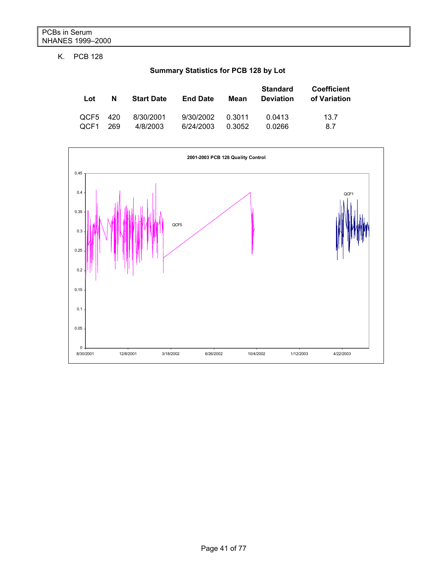### K. PCB 128

**Summary Statistics for PCB 128 by Lot** 

| Lot  | N   | <b>Start Date</b> | <b>End Date</b> | Mean   | <b>Standard</b><br><b>Deviation</b> | Coefficient<br>of Variation |
|------|-----|-------------------|-----------------|--------|-------------------------------------|-----------------------------|
| OCE5 | 420 | 8/30/2001         | 9/30/2002       | 0.3011 | 0.0413                              | 13.7                        |
| OCF1 | 269 | 4/8/2003          | 6/24/2003       | 0.3052 | 0.0266                              | 8.7                         |

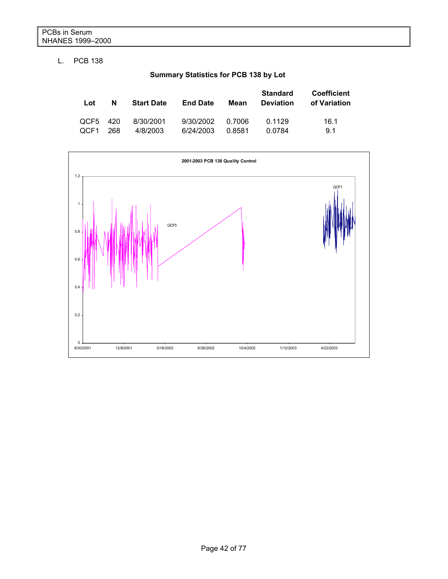#### L. PCB 138

## **Summary Statistics for PCB 138 by Lot**

| Lot      | N   | <b>Start Date</b> | <b>End Date</b> | Mean   | <b>Standard</b><br><b>Deviation</b> | <b>Coefficient</b><br>of Variation |
|----------|-----|-------------------|-----------------|--------|-------------------------------------|------------------------------------|
| OCF5 420 | 268 | 8/30/2001         | 9/30/2002       | 0.7006 | 0.1129                              | 16.1                               |
| OCF1     |     | 4/8/2003          | 6/24/2003       | 0.8581 | 0.0784                              | 91                                 |

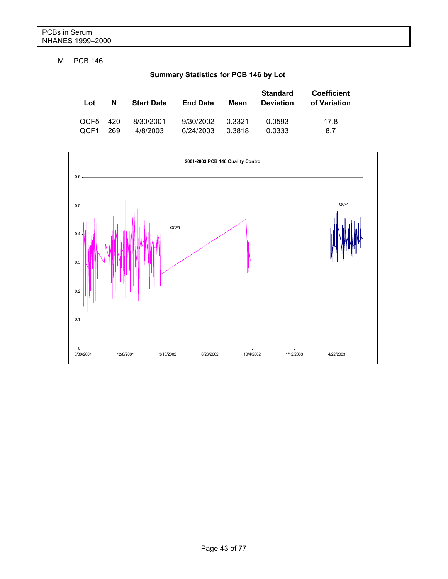#### M. PCB 146

**Summary Statistics for PCB 146 by Lot** 

| Lot      | N   | <b>Start Date</b> | <b>End Date</b> | Mean   | <b>Standard</b><br><b>Deviation</b> | <b>Coefficient</b><br>of Variation |
|----------|-----|-------------------|-----------------|--------|-------------------------------------|------------------------------------|
| QCF5 420 | 269 | 8/30/2001         | 9/30/2002       | 0.3321 | 0.0593                              | 17.8                               |
| OCF1     |     | 4/8/2003          | 6/24/2003       | 0.3818 | 0.0333                              | 8.7                                |

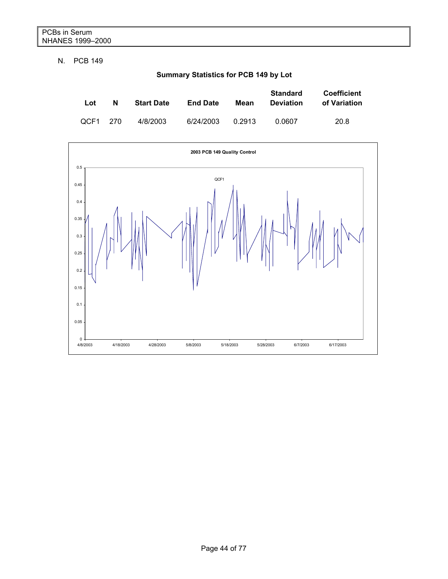N. PCB 149

**Summary Statistics for PCB 149 by Lot** 

| Lot  | N     | <b>Start Date</b> | <b>End Date</b> | Mean   | <b>Standard</b><br><b>Deviation</b> | Coefficient<br>of Variation |
|------|-------|-------------------|-----------------|--------|-------------------------------------|-----------------------------|
| OCF1 | - 270 | 4/8/2003          | 6/24/2003       | 0.2913 | 0.0607                              | 20.8                        |

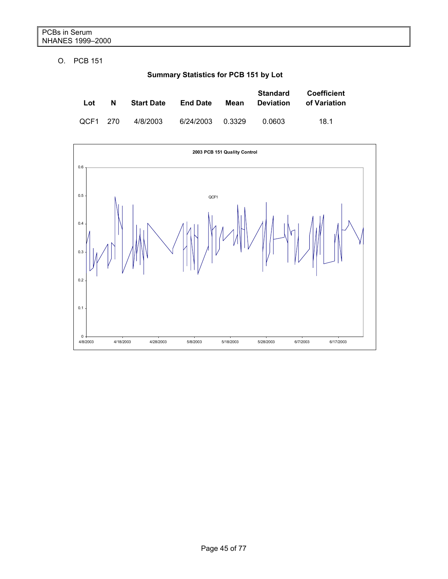O. PCB 151

**Summary Statistics for PCB 151 by Lot** 

| Lot      | N | <b>Start Date</b> | <b>End Date</b>  | Mean | <b>Standard</b><br><b>Deviation</b> | <b>Coefficient</b><br>of Variation |
|----------|---|-------------------|------------------|------|-------------------------------------|------------------------------------|
| QCF1 270 |   | 4/8/2003          | 6/24/2003 0.3329 |      | 0.0603                              | 18.1                               |

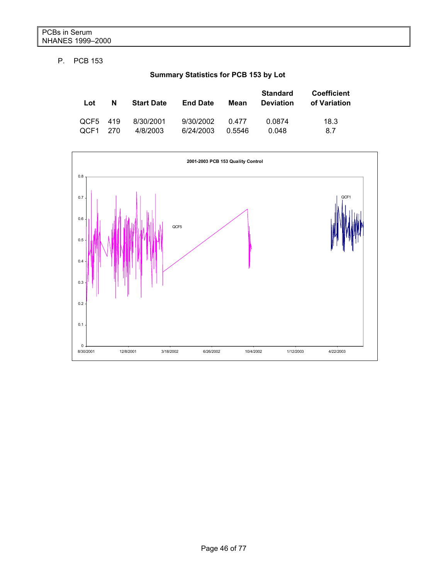#### P. PCB 153

**Summary Statistics for PCB 153 by Lot** 

| Lot      | N    | <b>Start Date</b> | <b>End Date</b> | Mean   | <b>Standard</b><br><b>Deviation</b> | <b>Coefficient</b><br>of Variation |
|----------|------|-------------------|-----------------|--------|-------------------------------------|------------------------------------|
| QCF5 419 | -270 | 8/30/2001         | 9/30/2002       | 0.477  | 0.0874                              | 18.3                               |
| OCF1     |      | 4/8/2003          | 6/24/2003       | 0.5546 | 0.048                               | 8.7                                |

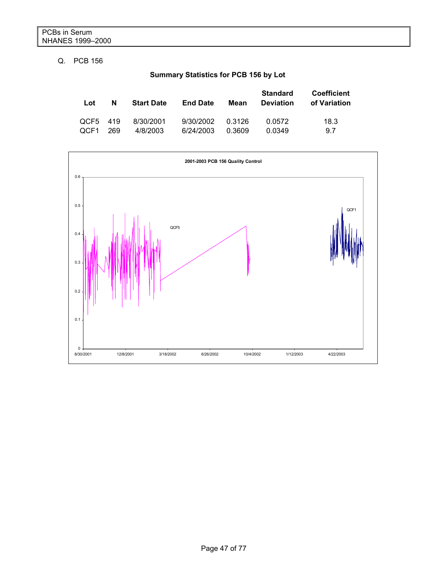#### Q. PCB 156

**Summary Statistics for PCB 156 by Lot** 

| Lot      | N   | <b>Start Date</b> | <b>End Date</b> | Mean   | <b>Standard</b><br><b>Deviation</b> | <b>Coefficient</b><br>of Variation |
|----------|-----|-------------------|-----------------|--------|-------------------------------------|------------------------------------|
| QCF5 419 | 269 | 8/30/2001         | 9/30/2002       | 0.3126 | 0.0572                              | 18.3                               |
| OCF1     |     | 4/8/2003          | 6/24/2003       | 0.3609 | 0.0349                              | 9.7                                |

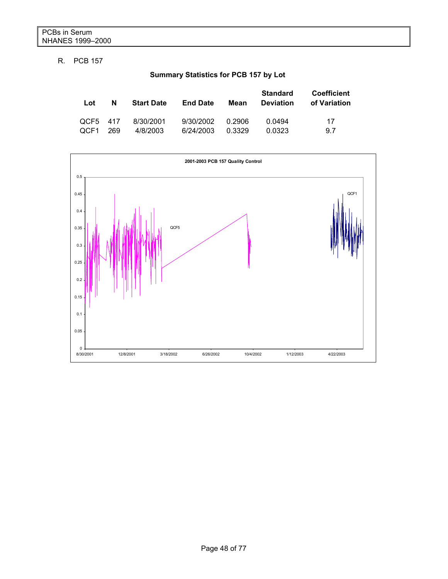#### R. PCB 157

## **Summary Statistics for PCB 157 by Lot**

| Lot      | N   | <b>Start Date</b> | <b>End Date</b> | Mean   | <b>Standard</b><br><b>Deviation</b> | <b>Coefficient</b><br>of Variation |
|----------|-----|-------------------|-----------------|--------|-------------------------------------|------------------------------------|
| QCF5 417 | 269 | 8/30/2001         | 9/30/2002       | 0.2906 | 0.0494                              | 17                                 |
| OCF1     |     | 4/8/2003          | 6/24/2003       | 0.3329 | 0.0323                              | 9.7                                |

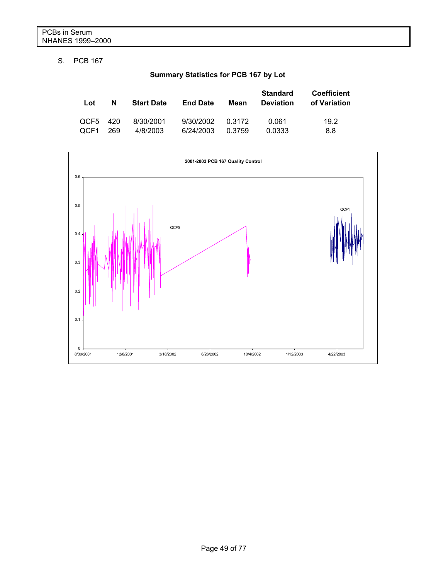#### S. PCB 167

**Summary Statistics for PCB 167 by Lot** 

| Lot      | N   | <b>Start Date</b> | <b>End Date</b> | Mean   | <b>Standard</b><br><b>Deviation</b> | <b>Coefficient</b><br>of Variation |
|----------|-----|-------------------|-----------------|--------|-------------------------------------|------------------------------------|
| QCF5 420 | 269 | 8/30/2001         | 9/30/2002       | 0.3172 | 0.061                               | 19.2                               |
| OCF1     |     | 4/8/2003          | 6/24/2003       | 0.3759 | 0.0333                              | 8.8                                |

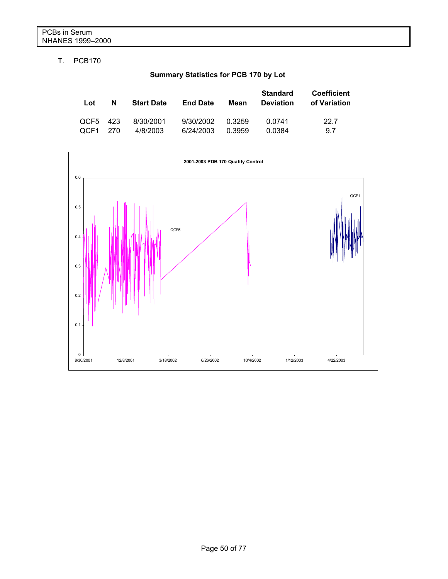### T. PCB170

## **Summary Statistics for PCB 170 by Lot**

| Lot      | N   | <b>Start Date</b> | <b>End Date</b> | Mean   | <b>Standard</b><br><b>Deviation</b> | <b>Coefficient</b><br>of Variation |
|----------|-----|-------------------|-----------------|--------|-------------------------------------|------------------------------------|
| QCF5 423 | 270 | 8/30/2001         | 9/30/2002       | 0.3259 | 0.0741                              | 22.7                               |
| OCF1     |     | 4/8/2003          | 6/24/2003       | 0.3959 | 0.0384                              | 9.7                                |

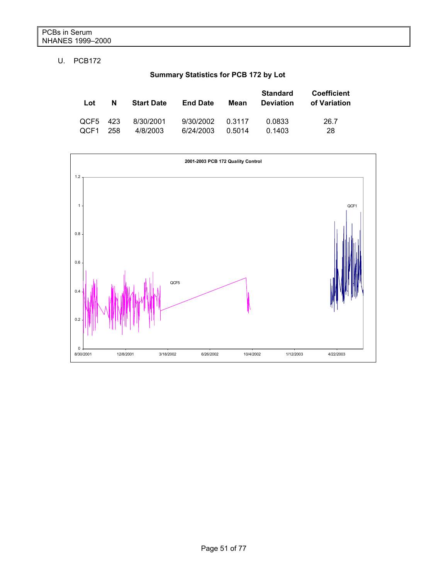### U. PCB172

**Summary Statistics for PCB 172 by Lot** 

| Lot      | N   | <b>Start Date</b> | <b>End Date</b> | Mean   | <b>Standard</b><br><b>Deviation</b> | <b>Coefficient</b><br>of Variation |
|----------|-----|-------------------|-----------------|--------|-------------------------------------|------------------------------------|
| QCF5 423 | 258 | 8/30/2001         | 9/30/2002       | 0.3117 | 0.0833                              | 26.7                               |
| OCF1     |     | 4/8/2003          | 6/24/2003       | 0.5014 | 0.1403                              | 28                                 |

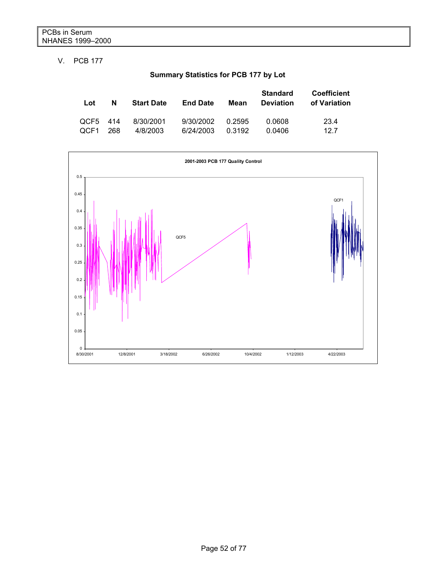#### V. PCB 177

## **Summary Statistics for PCB 177 by Lot**

| Lot      | N   | <b>Start Date</b> | <b>End Date</b> | Mean   | <b>Standard</b><br><b>Deviation</b> | <b>Coefficient</b><br>of Variation |
|----------|-----|-------------------|-----------------|--------|-------------------------------------|------------------------------------|
| QCF5 414 | 268 | 8/30/2001         | 9/30/2002       | 0.2595 | 0.0608                              | 23.4                               |
| OCF1     |     | 4/8/2003          | 6/24/2003       | 0.3192 | 0.0406                              | 12.7                               |

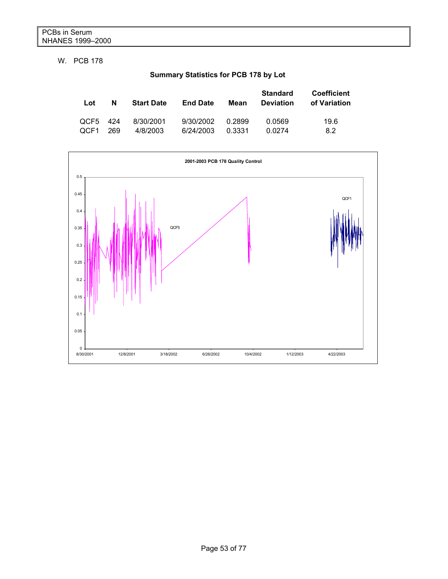W. PCB 178

**Summary Statistics for PCB 178 by Lot** 

| Lot      | N   | <b>Start Date</b> | <b>End Date</b> | Mean   | <b>Standard</b><br><b>Deviation</b> | <b>Coefficient</b><br>of Variation |
|----------|-----|-------------------|-----------------|--------|-------------------------------------|------------------------------------|
| QCF5 424 | 269 | 8/30/2001         | 9/30/2002       | 0.2899 | 0.0569                              | 19.6                               |
| OCF1     |     | 4/8/2003          | 6/24/2003       | 0.3331 | 0.0274                              | 8.2                                |

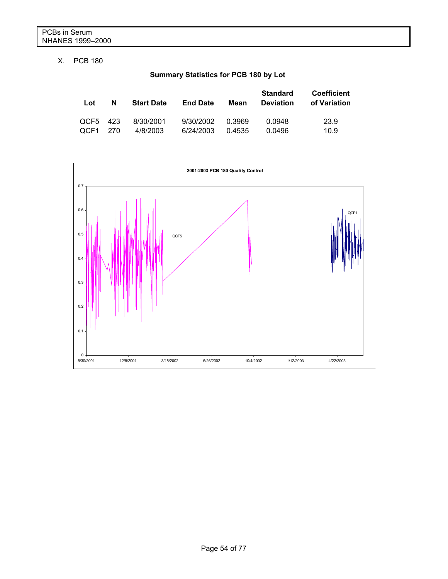#### X. PCB 180

## **Summary Statistics for PCB 180 by Lot**

| Lot      | N   | <b>Start Date</b> | <b>End Date</b> | Mean   | <b>Standard</b><br><b>Deviation</b> | <b>Coefficient</b><br>of Variation |
|----------|-----|-------------------|-----------------|--------|-------------------------------------|------------------------------------|
| QCF5 423 | 270 | 8/30/2001         | 9/30/2002       | 0.3969 | 0.0948                              | 23.9                               |
| QCF1     |     | 4/8/2003          | 6/24/2003       | 0.4535 | 0.0496                              | 10.9                               |

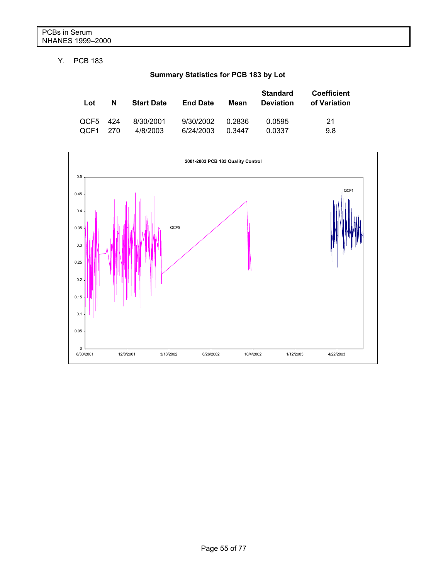#### Y. PCB 183

## **Summary Statistics for PCB 183 by Lot**

| Lot      | N    | <b>Start Date</b> | <b>End Date</b> | Mean   | <b>Standard</b><br><b>Deviation</b> | <b>Coefficient</b><br>of Variation |
|----------|------|-------------------|-----------------|--------|-------------------------------------|------------------------------------|
| QCF5 424 | -270 | 8/30/2001         | 9/30/2002       | 0.2836 | 0.0595                              | 21                                 |
| OCF1     |      | 4/8/2003          | 6/24/2003       | 0.3447 | 0.0337                              | 9.8                                |

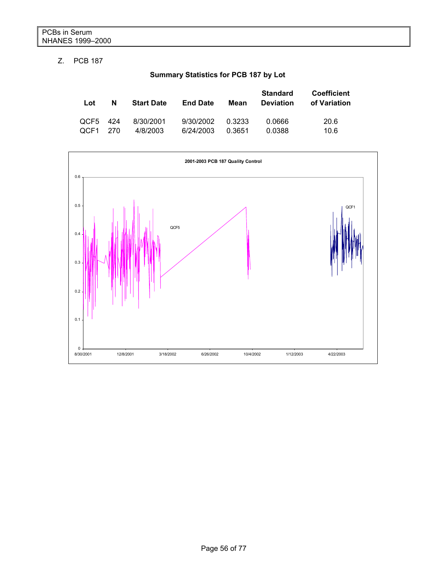### Z. PCB 187

## **Summary Statistics for PCB 187 by Lot**

| Lot      | N   | <b>Start Date</b> | <b>End Date</b> | Mean   | <b>Standard</b><br><b>Deviation</b> | <b>Coefficient</b><br>of Variation |
|----------|-----|-------------------|-----------------|--------|-------------------------------------|------------------------------------|
| OCF5 424 | 270 | 8/30/2001         | 9/30/2002       | 0.3233 | 0.0666                              | 20.6                               |
| QCF1     |     | 4/8/2003          | 6/24/2003       | 0.3651 | 0.0388                              | 10.6                               |

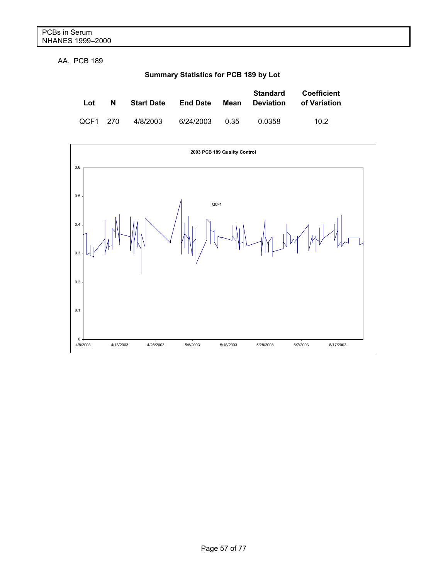AA. PCB 189

**Summary Statistics for PCB 189 by Lot** 

| Lot      | N | <b>Start Date</b> | <b>End Date</b> | Mean | Standard<br><b>Deviation</b> | <b>Coefficient</b><br>of Variation |
|----------|---|-------------------|-----------------|------|------------------------------|------------------------------------|
| QCF1 270 |   | 4/8/2003          | 6/24/2003 0.35  |      | 0.0358                       | 10.2                               |

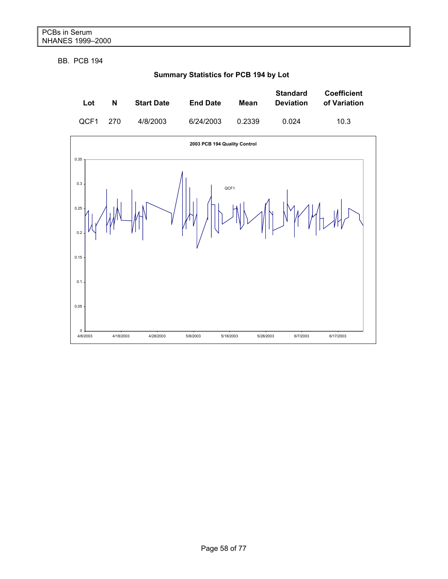BB. PCB 194



## **Summary Statistics for PCB 194 by Lot**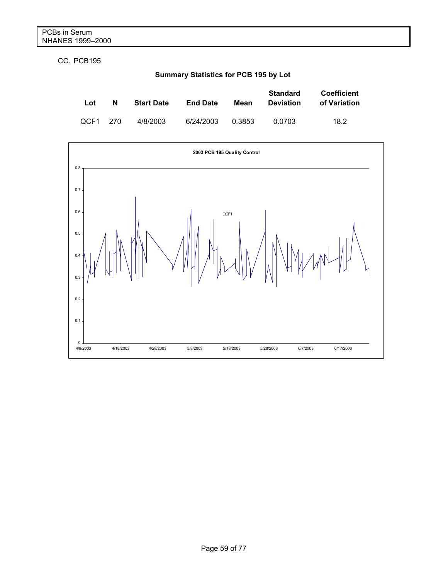CC. PCB195

**Summary Statistics for PCB 195 by Lot** 

| Lot      | N | <b>Start Date</b> | <b>End Date</b> | Mean   | <b>Standard</b><br><b>Deviation</b> | <b>Coefficient</b><br>of Variation |
|----------|---|-------------------|-----------------|--------|-------------------------------------|------------------------------------|
| QCF1 270 |   | 4/8/2003          | 6/24/2003       | 0.3853 | 0.0703                              | 18.2                               |

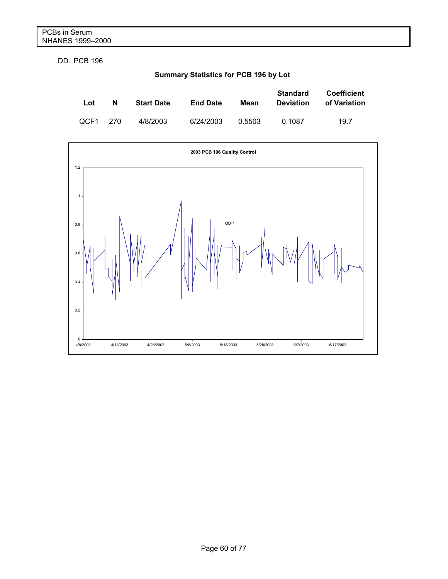DD. PCB 196

**Summary Statistics for PCB 196 by Lot**

| Lot      | N | <b>Start Date</b> | <b>End Date</b> | Mean   | <b>Standard</b><br><b>Deviation</b> | <b>Coefficient</b><br>of Variation |
|----------|---|-------------------|-----------------|--------|-------------------------------------|------------------------------------|
| OCF1 270 |   | 4/8/2003          | 6/24/2003       | 0.5503 | 0.1087                              | 19.7                               |

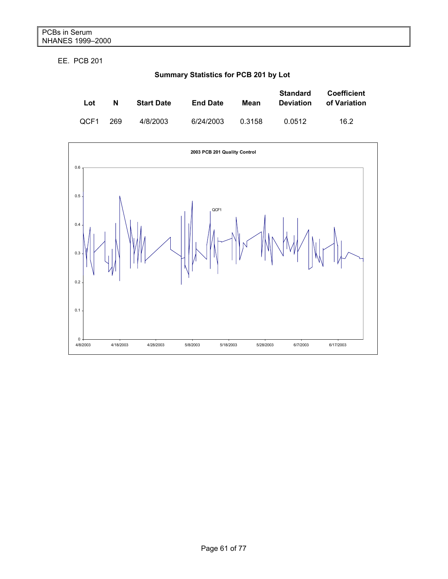EE. PCB 201

**Summary Statistics for PCB 201 by Lot**

| Lot  | N   | <b>Start Date</b> | <b>End Date</b> | Mean   | <b>Standard</b><br><b>Deviation</b> | <b>Coefficient</b><br>of Variation |
|------|-----|-------------------|-----------------|--------|-------------------------------------|------------------------------------|
| OCF1 | 269 | 4/8/2003          | 6/24/2003       | 0.3158 | 0.0512                              | 16.2                               |

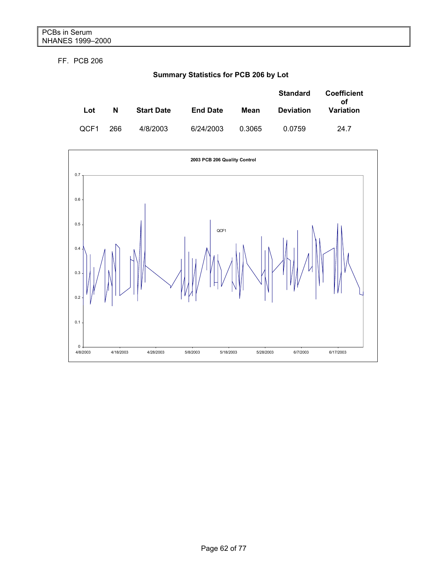FF. PCB 206

**Summary Statistics for PCB 206 by Lot**

|      |     |                   |                 |        | <b>Standard</b>  | <b>Coefficient</b><br>οf |
|------|-----|-------------------|-----------------|--------|------------------|--------------------------|
| Lot  | N   | <b>Start Date</b> | <b>End Date</b> | Mean   | <b>Deviation</b> | Variation                |
| OCF1 | 266 | 4/8/2003          | 6/24/2003       | 0.3065 | 0.0759           | 24.7                     |

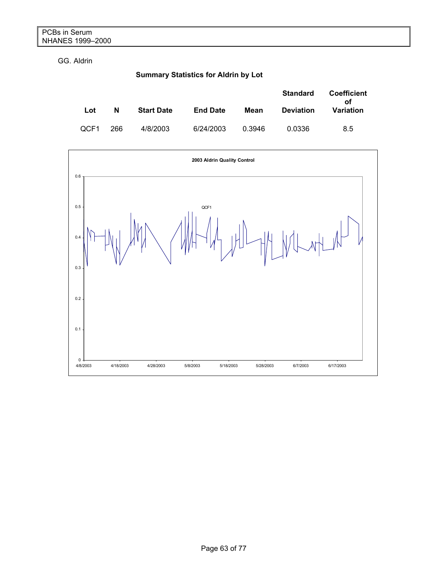GG. Aldrin

## **Summary Statistics for Aldrin by Lot**

|      |     |                   |                 |        | <b>Standard</b>  | Coefficient<br>οf |
|------|-----|-------------------|-----------------|--------|------------------|-------------------|
| Lot  | N   | <b>Start Date</b> | <b>End Date</b> | Mean   | <b>Deviation</b> | Variation         |
| QCF1 | 266 | 4/8/2003          | 6/24/2003       | 0.3946 | 0.0336           | 8.5               |

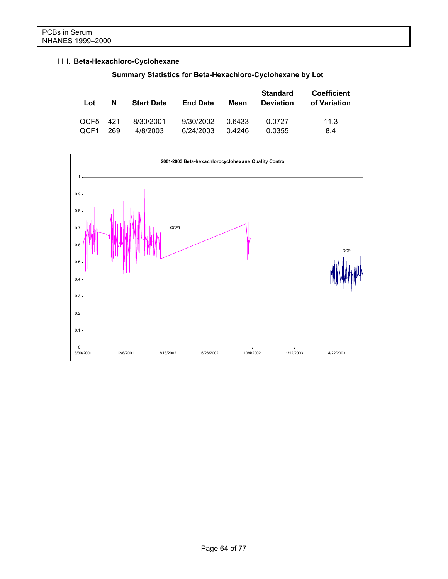### HH. **Beta-Hexachloro-Cyclohexane**

**Summary Statistics for Beta-Hexachloro-Cyclohexane by Lot** 

| Lot      | N   | <b>Start Date</b> | <b>End Date</b> | Mean   | <b>Standard</b><br><b>Deviation</b> | <b>Coefficient</b><br>of Variation |
|----------|-----|-------------------|-----------------|--------|-------------------------------------|------------------------------------|
| QCF5 421 | 269 | 8/30/2001         | 9/30/2002       | 0.6433 | 0.0727                              | 11.3                               |
| OCF1     |     | 4/8/2003          | 6/24/2003       | 0.4246 | 0.0355                              | 8.4                                |

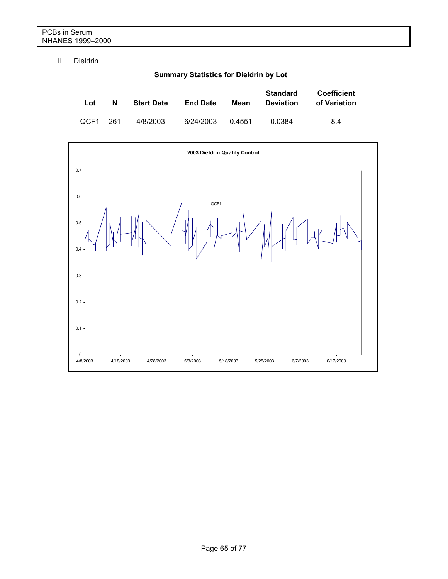#### II. Dieldrin

**Summary Statistics for Dieldrin by Lot** 

| Lot      | N | <b>Start Date</b> | <b>End Date</b> | Mean   | <b>Standard</b><br><b>Deviation</b> | Coefficient<br>of Variation |
|----------|---|-------------------|-----------------|--------|-------------------------------------|-----------------------------|
| QCF1 261 |   | 4/8/2003          | 6/24/2003       | 0.4551 | 0.0384                              | 8.4                         |

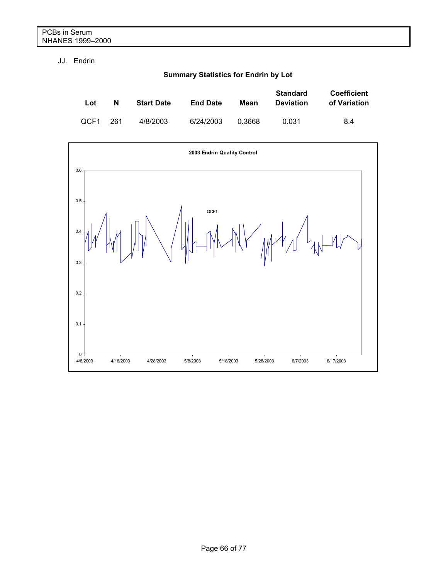#### JJ. Endrin

**Summary Statistics for Endrin by Lot** 

| Lot  | N   | <b>Start Date</b> | <b>End Date</b> | Mean   | <b>Standard</b><br><b>Deviation</b> | <b>Coefficient</b><br>of Variation |
|------|-----|-------------------|-----------------|--------|-------------------------------------|------------------------------------|
| QCF1 | 261 | 4/8/2003          | 6/24/2003       | 0.3668 | 0.031                               | 8.4                                |

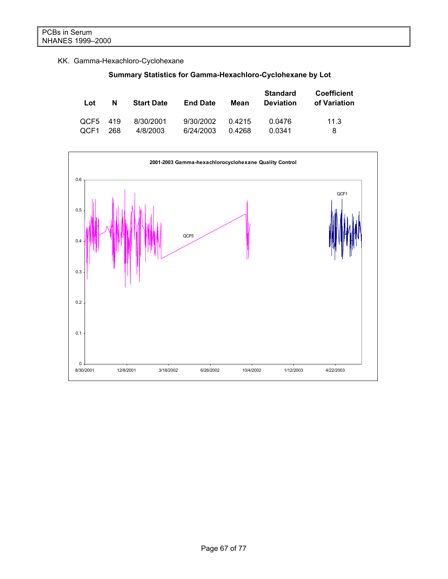## KK. Gamma-Hexachloro-Cyclohexane

|  | Summary Statistics for Gamma-Hexachloro-Cyclohexane by Lot |  |
|--|------------------------------------------------------------|--|
|  |                                                            |  |

| Lot      | N   | <b>Start Date</b> | <b>End Date</b> | Mean   | <b>Standard</b><br><b>Deviation</b> | <b>Coefficient</b><br>of Variation |
|----------|-----|-------------------|-----------------|--------|-------------------------------------|------------------------------------|
| OCF5 419 | 268 | 8/30/2001         | 9/30/2002       | 0.4215 | 0.0476                              | 11.3                               |
| OCF1     |     | 4/8/2003          | 6/24/2003       | 0.4268 | 0.0341                              | 8                                  |

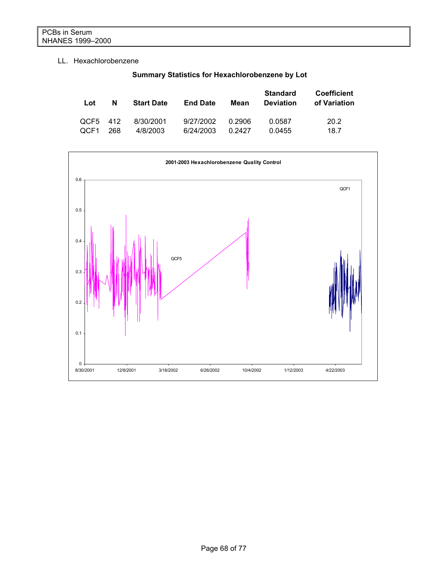#### LL. Hexachlorobenzene

| Lot      | N   | <b>Start Date</b> | <b>End Date</b> | Mean   | <b>Standard</b><br><b>Deviation</b> | <b>Coefficient</b><br>of Variation |
|----------|-----|-------------------|-----------------|--------|-------------------------------------|------------------------------------|
| QCF5 412 | 268 | 8/30/2001         | 9/27/2002       | 0.2906 | 0.0587                              | 20.2                               |
| QCF1     |     | 4/8/2003          | 6/24/2003       | 0.2427 | 0.0455                              | 18.7                               |



## **Summary Statistics for Hexachlorobenzene by Lot**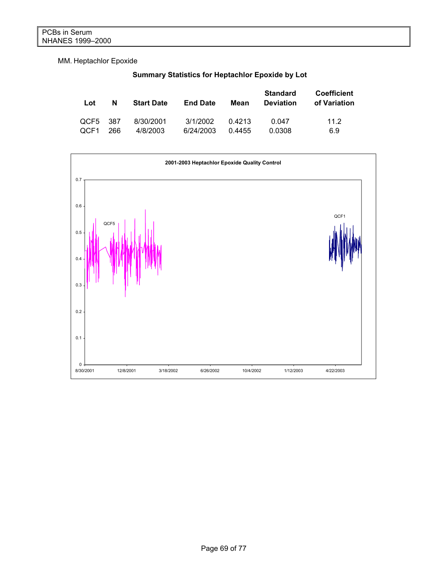MM. Heptachlor Epoxide

**Summary Statistics for Heptachlor Epoxide by Lot** 

| Lot  | N    | <b>Start Date</b> | <b>End Date</b> | Mean   | <b>Standard</b><br><b>Deviation</b> | <b>Coefficient</b><br>of Variation |
|------|------|-------------------|-----------------|--------|-------------------------------------|------------------------------------|
| OCF5 | -387 | 8/30/2001         | 3/1/2002        | 0.4213 | 0.047                               | 11.2                               |
| OCF1 | 266  | 4/8/2003          | 6/24/2003       | 0.4455 | 0.0308                              | 6.9                                |

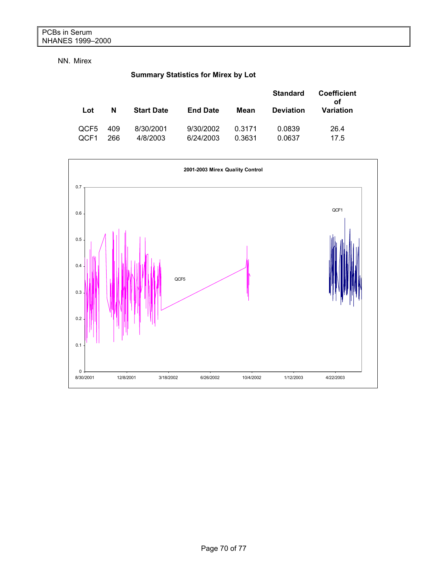#### NN. Mirex

## **Summary Statistics for Mirex by Lot**

|              |            |                       |                        |                  | <b>Standard</b>  | <b>Coefficient</b><br>οf |
|--------------|------------|-----------------------|------------------------|------------------|------------------|--------------------------|
| Lot          | N          | <b>Start Date</b>     | <b>End Date</b>        | Mean             | <b>Deviation</b> | Variation                |
| QCF5<br>QCF1 | 409<br>266 | 8/30/2001<br>4/8/2003 | 9/30/2002<br>6/24/2003 | 0.3171<br>0.3631 | 0.0839<br>0.0637 | 26.4<br>17.5             |

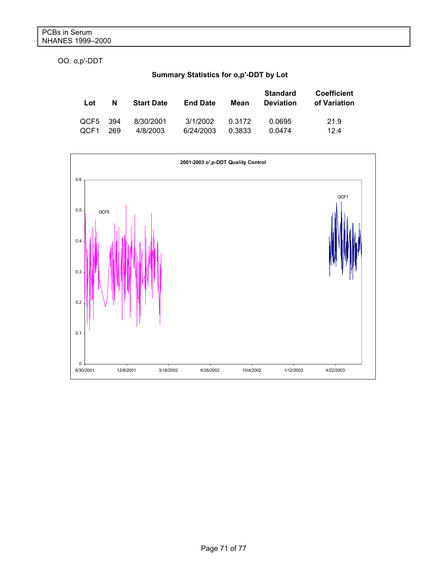OO. o,p'-DDT

## **Summary Statistics for o,p'-DDT by Lot**

| Lot  | N    | <b>Start Date</b> | <b>End Date</b> | Mean   | <b>Standard</b><br><b>Deviation</b> | <b>Coefficient</b><br>of Variation |
|------|------|-------------------|-----------------|--------|-------------------------------------|------------------------------------|
| QCF5 | -394 | 8/30/2001         | 3/1/2002        | 0.3172 | 0.0695                              | 21.9                               |
| OCF1 | 269  | 4/8/2003          | 6/24/2003       | 0.3833 | 0.0474                              | 124                                |

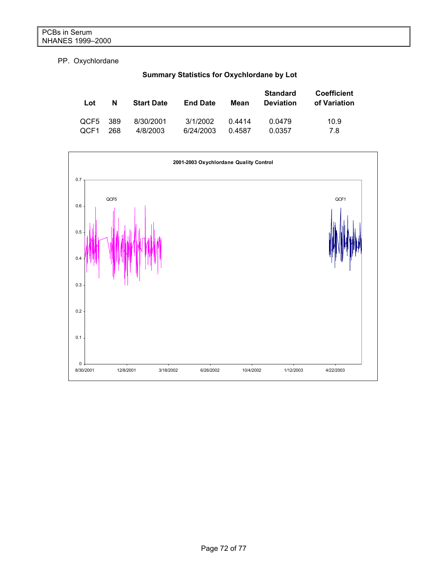### PP. Oxychlordane

| Lot  | N   | <b>Start Date</b> | <b>End Date</b> | Mean   | <b>Standard</b><br><b>Deviation</b> | <b>Coefficient</b><br>of Variation |
|------|-----|-------------------|-----------------|--------|-------------------------------------|------------------------------------|
| QCF5 | 389 | 8/30/2001         | 3/1/2002        | 0.4414 | 0.0479                              | 10.9                               |
| QCF1 | 268 | 4/8/2003          | 6/24/2003       | 0.4587 | 0.0357                              | 7.8                                |



# **Summary Statistics for Oxychlordane by Lot**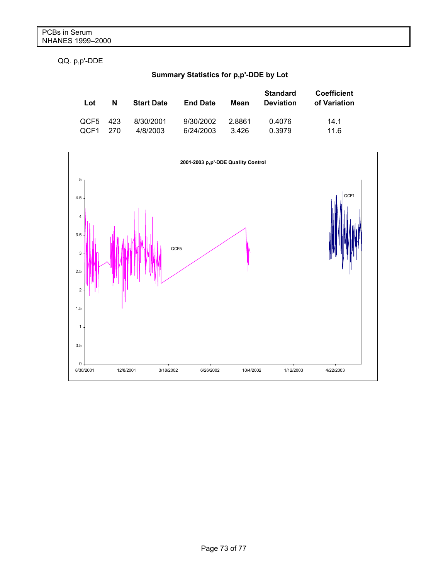QQ. p,p'-DDE

# **Summary Statistics for p,p'-DDE by Lot**

| Lot      | N   | <b>Start Date</b> | <b>End Date</b> | Mean   | <b>Standard</b><br><b>Deviation</b> | <b>Coefficient</b><br>of Variation |
|----------|-----|-------------------|-----------------|--------|-------------------------------------|------------------------------------|
| QCF5 423 | 270 | 8/30/2001         | 9/30/2002       | 2.8861 | 0.4076                              | 14.1                               |
| OCF1     |     | 4/8/2003          | 6/24/2003       | 3.426  | 0.3979                              | 11.6                               |

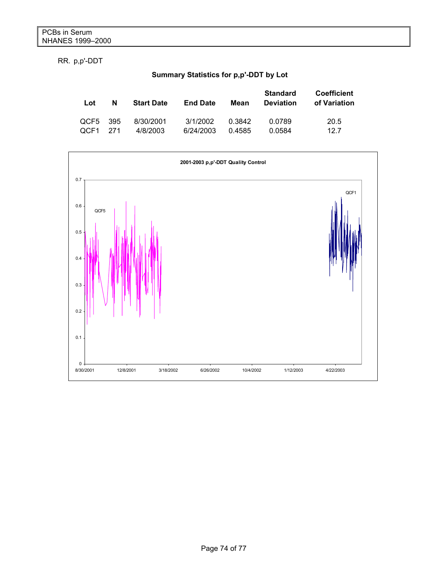RR. p,p'-DDT

# **Summary Statistics for p,p'-DDT by Lot**

| Lot  | N    | <b>Start Date</b> | <b>End Date</b> | Mean   | <b>Standard</b><br><b>Deviation</b> | <b>Coefficient</b><br>of Variation |
|------|------|-------------------|-----------------|--------|-------------------------------------|------------------------------------|
| QCF5 | -395 | 8/30/2001         | 3/1/2002        | 0.3842 | 0.0789                              | 20.5                               |
| OCF1 | 271  | 4/8/2003          | 6/24/2003       | 0.4585 | 0.0584                              | 12.7                               |

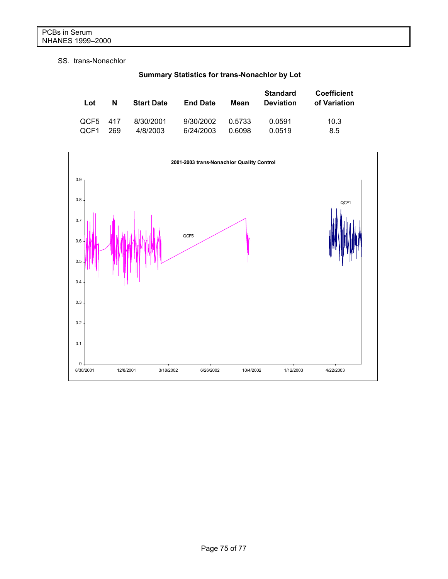# SS. trans-Nonachlor

| Lot      | N   | <b>Start Date</b> | <b>End Date</b> | Mean   | <b>Standard</b><br><b>Deviation</b> | <b>Coefficient</b><br>of Variation |
|----------|-----|-------------------|-----------------|--------|-------------------------------------|------------------------------------|
| OCF5 417 | 269 | 8/30/2001         | 9/30/2002       | 0.5733 | 0.0591                              | 10.3                               |
| OCF1     |     | 4/8/2003          | 6/24/2003       | 0.6098 | 0.0519                              | 8.5                                |



# **Summary Statistics for trans-Nonachlor by Lot**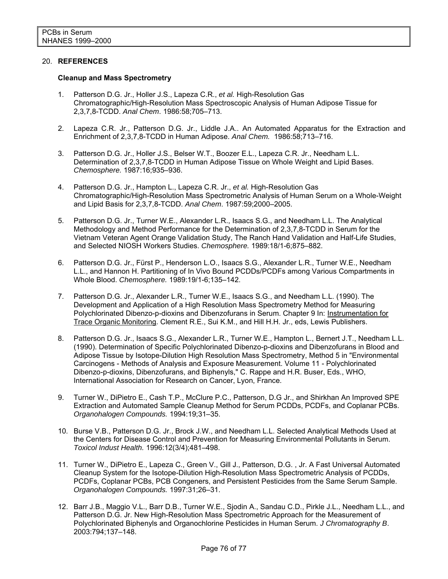## 20. **REFERENCES**

#### **Cleanup and Mass Spectrometry**

- 1. Patterson D.G. Jr., Holler J.S., Lapeza C.R., *et al.* High-Resolution Gas Chromatographic/High-Resolution Mass Spectroscopic Analysis of Human Adipose Tissue for 2,3,7,8-TCDD. *Anal Chem*. 1986:58;705–713.
- 2. Lapeza C.R. Jr., Patterson D.G. Jr., Liddle J.A.. An Automated Apparatus for the Extraction and Enrichment of 2,3,7,8-TCDD in Human Adipose. *Anal Chem.* 1986:58;713–716.
- 3. Patterson D.G. Jr., Holler J.S., Belser W.T., Boozer E.L., Lapeza C.R. Jr., Needham L.L. Determination of 2,3,7,8-TCDD in Human Adipose Tissue on Whole Weight and Lipid Bases. *Chemosphere.* 1987:16;935–936.
- 4. Patterson D.G. Jr., Hampton L., Lapeza C.R. Jr., *et al.* High-Resolution Gas Chromatographic/High-Resolution Mass Spectrometric Analysis of Human Serum on a Whole-Weight and Lipid Basis for 2,3,7,8-TCDD. *Anal Chem*. 1987:59;2000–2005.
- 5. Patterson D.G. Jr., Turner W.E., Alexander L.R., Isaacs S.G., and Needham L.L. The Analytical Methodology and Method Performance for the Determination of 2,3,7,8-TCDD in Serum for the Vietnam Veteran Agent Orange Validation Study, The Ranch Hand Validation and Half-Life Studies, and Selected NIOSH Workers Studies. *Chemosphere.* 1989:18/1-6;875–882.
- 6. Patterson D.G. Jr., Fürst P., Henderson L.O., Isaacs S.G., Alexander L.R., Turner W.E., Needham L.L., and Hannon H. Partitioning of In Vivo Bound PCDDs/PCDFs among Various Compartments in Whole Blood. *Chemosphere.* 1989:19/1-6;135–142.
- 7. Patterson D.G. Jr., Alexander L.R., Turner W.E., Isaacs S.G., and Needham L.L. (1990). The Development and Application of a High Resolution Mass Spectrometry Method for Measuring Polychlorinated Dibenzo-p-dioxins and Dibenzofurans in Serum. Chapter 9 In: Instrumentation for Trace Organic Monitoring. Clement R.E., Sui K.M., and Hill H.H. Jr., eds, Lewis Publishers.
- 8. Patterson D.G. Jr., Isaacs S.G., Alexander L.R., Turner W.E., Hampton L., Bernert J.T., Needham L.L. (1990). Determination of Specific Polychlorinated Dibenzo-p-dioxins and Dibenzofurans in Blood and Adipose Tissue by Isotope-Dilution High Resolution Mass Spectrometry, Method 5 in "Environmental Carcinogens - Methods of Analysis and Exposure Measurement. Volume 11 - Polychlorinated Dibenzo-p-dioxins, Dibenzofurans, and Biphenyls," C. Rappe and H.R. Buser, Eds., WHO, International Association for Research on Cancer, Lyon, France.
- 9. Turner W., DiPietro E., Cash T.P., McClure P.C., Patterson, D.G Jr., and Shirkhan An Improved SPE Extraction and Automated Sample Cleanup Method for Serum PCDDs, PCDFs, and Coplanar PCBs. *Organohalogen Compounds.* 1994:19;31–35.
- 10. Burse V.B., Patterson D.G. Jr., Brock J.W., and Needham L.L. Selected Analytical Methods Used at the Centers for Disease Control and Prevention for Measuring Environmental Pollutants in Serum. *Toxicol Indust Health.* 1996:12(3/4);481–498.
- 11. Turner W., DiPietro E., Lapeza C., Green V., Gill J., Patterson, D.G. , Jr. A Fast Universal Automated Cleanup System for the Isotope-Dilution High-Resolution Mass Spectrometric Analysis of PCDDs, PCDFs, Coplanar PCBs, PCB Congeners, and Persistent Pesticides from the Same Serum Sample. *Organohalogen Compounds.* 1997:31;26–31.
- 12. Barr J.B., Maggio V.L., Barr D.B., Turner W.E., Sjodin A., Sandau C.D., Pirkle J.L., Needham L.L., and Patterson D.G. Jr. New High-Resolution Mass Spectrometric Approach for the Measurement of Polychlorinated Biphenyls and Organochlorine Pesticides in Human Serum. *J Chromatography B*. 2003:794;137–148.